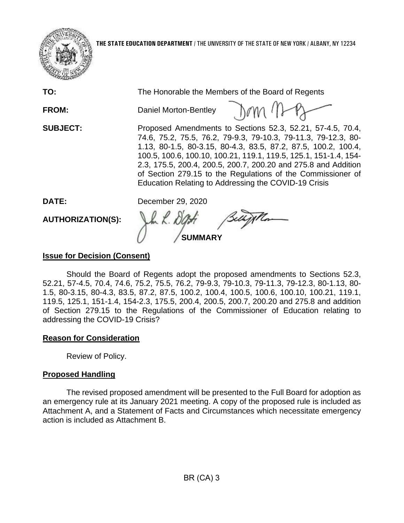

| TO:                      | The Honorable the Members of the Board of Regents                                                                                                                                                                                                                                                                                                                                                                                                           |
|--------------------------|-------------------------------------------------------------------------------------------------------------------------------------------------------------------------------------------------------------------------------------------------------------------------------------------------------------------------------------------------------------------------------------------------------------------------------------------------------------|
| <b>FROM:</b>             | $J \circ m$ ( $D$<br>Daniel Morton-Bentley                                                                                                                                                                                                                                                                                                                                                                                                                  |
| <b>SUBJECT:</b>          | Proposed Amendments to Sections 52.3, 52.21, 57-4.5, 70.4,<br>74.6, 75.2, 75.5, 76.2, 79-9.3, 79-10.3, 79-11.3, 79-12.3, 80-<br>1.13, 80-1.5, 80-3.15, 80-4.3, 83.5, 87.2, 87.5, 100.2, 100.4,<br>100.5, 100.6, 100.10, 100.21, 119.1, 119.5, 125.1, 151-1.4, 154-<br>2.3, 175.5, 200.4, 200.5, 200.7, 200.20 and 275.8 and Addition<br>of Section 279.15 to the Regulations of the Commissioner of<br>Education Relating to Addressing the COVID-19 Crisis |
| DATE:                    | December 29, 2020                                                                                                                                                                                                                                                                                                                                                                                                                                           |
| <b>AUTHORIZATION(S):</b> | Belly The<br><b>SUMMARY</b>                                                                                                                                                                                                                                                                                                                                                                                                                                 |

## **Issue for Decision (Consent)**

 52.21, 57-4.5, 70.4, 74.6, 75.2, 75.5, 76.2, 79-9.3, 79-10.3, 79-11.3, 79-12.3, 80-1.13, 80- 1.5, 80-3.15, 80-4.3, 83.5, 87.2, 87.5, 100.2, 100.4, 100.5, 100.6, 100.10, 100.21, 119.1, 119.5, 125.1, 151-1.4, 154-2.3, 175.5, 200.4, 200.5, 200.7, 200.20 and 275.8 and addition of Section 279.15 to the Regulations of the Commissioner of Education relating to Should the Board of Regents adopt the proposed amendments to Sections 52.3, addressing the COVID-19 Crisis?

### **Reason for Consideration**

Review of Policy.

### **Proposed Handling**

 an emergency rule at its January 2021 meeting. A copy of the proposed rule is included as The revised proposed amendment will be presented to the Full Board for adoption as Attachment A, and a Statement of Facts and Circumstances which necessitate emergency action is included as Attachment B.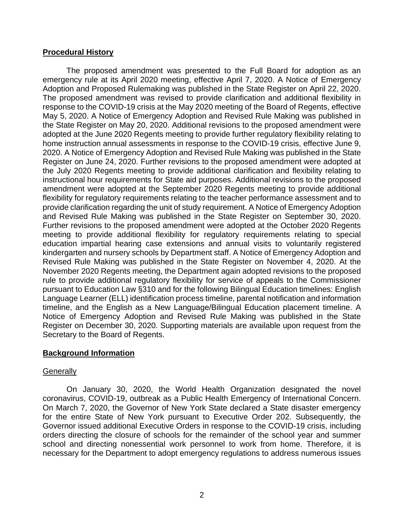### **Procedural History**

 The proposed amendment was presented to the Full Board for adoption as an May 5, 2020. A Notice of Emergency Adoption and Revised Rule Making was published in 2020. A Notice of Emergency Adoption and Revised Rule Making was published in the State Register on June 24, 2020. Further revisions to the proposed amendment were adopted at the July 2020 Regents meeting to provide additional clarification and flexibility relating to flexibility for regulatory requirements relating to the teacher performance assessment and to meeting to provide additional flexibility for regulatory requirements relating to special Revised Rule Making was published in the State Register on November 4, 2020. At the rule to provide additional regulatory flexibility for service of appeals to the Commissioner pursuant to Education Law §310 and for the following Bilingual Education timelines: English Notice of Emergency Adoption and Revised Rule Making was published in the State Register on December 30, 2020. Supporting materials are available upon request from the emergency rule at its April 2020 meeting, effective April 7, 2020. A Notice of Emergency Adoption and Proposed Rulemaking was published in the State Register on April 22, 2020. The proposed amendment was revised to provide clarification and additional flexibility in response to the COVID-19 crisis at the May 2020 meeting of the Board of Regents, effective the State Register on May 20, 2020. Additional revisions to the proposed amendment were adopted at the June 2020 Regents meeting to provide further regulatory flexibility relating to home instruction annual assessments in response to the COVID-19 crisis, effective June 9, instructional hour requirements for State aid purposes. Additional revisions to the proposed amendment were adopted at the September 2020 Regents meeting to provide additional provide clarification regarding the unit of study requirement. A Notice of Emergency Adoption and Revised Rule Making was published in the State Register on September 30, 2020. Further revisions to the proposed amendment were adopted at the October 2020 Regents education impartial hearing case extensions and annual visits to voluntarily registered kindergarten and nursery schools by Department staff. A Notice of Emergency Adoption and November 2020 Regents meeting, the Department again adopted revisions to the proposed Language Learner (ELL) identification process timeline, parental notification and information timeline, and the English as a New Language/Bilingual Education placement timeline. A Secretary to the Board of Regents.

### **Background Information**

#### **Generally**

 orders directing the closure of schools for the remainder of the school year and summer school and directing nonessential work personnel to work from home. Therefore, it is On January 30, 2020, the World Health Organization designated the novel coronavirus, COVID-19, outbreak as a Public Health Emergency of International Concern. On March 7, 2020, the Governor of New York State declared a State disaster emergency for the entire State of New York pursuant to Executive Order 202. Subsequently, the Governor issued additional Executive Orders in response to the COVID-19 crisis, including necessary for the Department to adopt emergency regulations to address numerous issues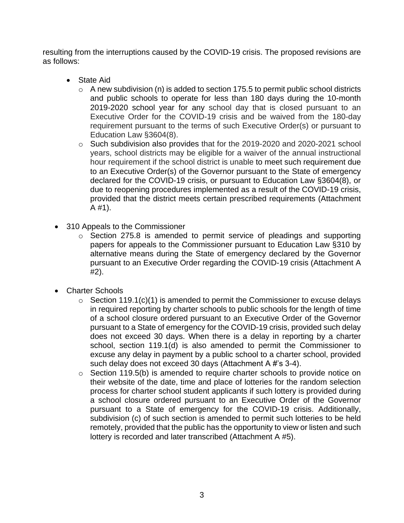resulting from the interruptions caused by the COVID-19 crisis. The proposed revisions are as follows:

- State Aid
	- $\circ$  A new subdivision (n) is added to section 175.5 to permit public school districts and public schools to operate for less than 180 days during the 10-month 2019-2020 school year for any school day that is closed pursuant to an Executive Order for the COVID-19 crisis and be waived from the 180-day requirement pursuant to the terms of such Executive Order(s) or pursuant to Education Law §3604(8).
	- to an Executive Order(s) of the Governor pursuant to the State of emergency declared for the COVID-19 crisis, or pursuant to Education Law §3604(8), or o Such subdivision also provides that for the 2019-2020 and 2020-2021 school years, school districts may be eligible for a waiver of the annual instructional hour requirement if the school district is unable to meet such requirement due due to reopening procedures implemented as a result of the COVID-19 crisis, provided that the district meets certain prescribed requirements (Attachment A #1).
- 310 Appeals to the Commissioner
	- papers for appeals to the Commissioner pursuant to Education Law §310 by o Section 275.8 is amended to permit service of pleadings and supporting alternative means during the State of emergency declared by the Governor pursuant to an Executive Order regarding the COVID-19 crisis (Attachment A #2).
- Charter Schools
	- pursuant to a State of emergency for the COVID-19 crisis, provided such delay  $\circ$  Section 119.1(c)(1) is amended to permit the Commissioner to excuse delays in required reporting by charter schools to public schools for the length of time of a school closure ordered pursuant to an Executive Order of the Governor does not exceed 30 days. When there is a delay in reporting by a charter school, section 119.1(d) is also amended to permit the Commissioner to excuse any delay in payment by a public school to a charter school, provided such delay does not exceed 30 days (Attachment A #'s 3-4).
	- their website of the date, time and place of lotteries for the random selection subdivision (c) of such section is amended to permit such lotteries to be held remotely, provided that the public has the opportunity to view or listen and such o Section 119.5(b) is amended to require charter schools to provide notice on process for charter school student applicants if such lottery is provided during a school closure ordered pursuant to an Executive Order of the Governor pursuant to a State of emergency for the COVID-19 crisis. Additionally, lottery is recorded and later transcribed (Attachment A #5).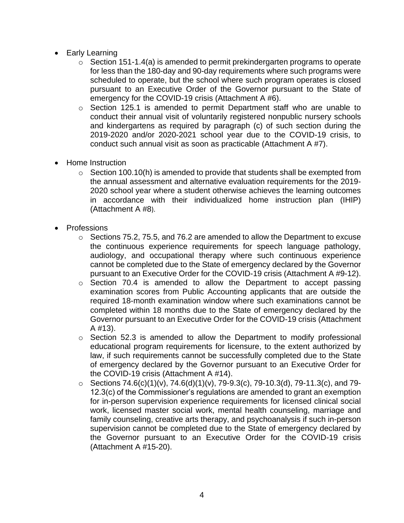- Early Learning
	- scheduled to operate, but the school where such program operates is closed o Section 151-1.4(a) is amended to permit prekindergarten programs to operate for less than the 180-day and 90-day requirements where such programs were pursuant to an Executive Order of the Governor pursuant to the State of emergency for the COVID-19 crisis (Attachment A #6).
	- o Section 125.1 is amended to permit Department staff who are unable to 2019-2020 and/or 2020-2021 school year due to the COVID-19 crisis, to conduct their annual visit of voluntarily registered nonpublic nursery schools and kindergartens as required by paragraph (c) of such section during the conduct such annual visit as soon as practicable (Attachment A #7).
- Home Instruction
	- $\circ$  Section 100.10(h) is amended to provide that students shall be exempted from in accordance with their individualized home instruction plan (IHIP) the annual assessment and alternative evaluation requirements for the 2019- 2020 school year where a student otherwise achieves the learning outcomes (Attachment A #8).
- Professions
	- $\circ$  Sections 75.2, 75.5, and 76.2 are amended to allow the Department to excuse the continuous experience requirements for speech language pathology, audiology, and occupational therapy where such continuous experience cannot be completed due to the State of emergency declared by the Governor pursuant to an Executive Order for the COVID-19 crisis (Attachment A #9-12).
	- examination scores from Public Accounting applicants that are outside the o Section 70.4 is amended to allow the Department to accept passing required 18-month examination window where such examinations cannot be completed within 18 months due to the State of emergency declared by the Governor pursuant to an Executive Order for the COVID-19 crisis (Attachment A #13).
	- law, if such requirements cannot be successfully completed due to the State o Section 52.3 is amended to allow the Department to modify professional educational program requirements for licensure, to the extent authorized by of emergency declared by the Governor pursuant to an Executive Order for the COVID-19 crisis (Attachment A #14).
	- 12.3(c) of the Commissioner's regulations are amended to grant an exemption work, licensed master social work, mental health counseling, marriage and ○ Sections  $74.6(c)(1)(v)$ ,  $74.6(d)(1)(v)$ ,  $79-9.3(c)$ ,  $79-10.3(d)$ ,  $79-11.3(c)$ , and  $79$ for in-person supervision experience requirements for licensed clinical social family counseling, creative arts therapy, and psychoanalysis if such in-person supervision cannot be completed due to the State of emergency declared by the Governor pursuant to an Executive Order for the COVID-19 crisis (Attachment A #15-20).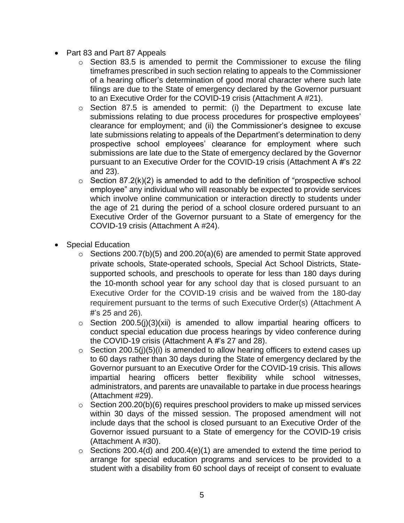- Part 83 and Part 87 Appeals
	- of a hearing officer's determination of good moral character where such late  $\circ$  Section 83.5 is amended to permit the Commissioner to excuse the filing timeframes prescribed in such section relating to appeals to the Commissioner filings are due to the State of emergency declared by the Governor pursuant to an Executive Order for the COVID-19 crisis (Attachment A #21).
	- prospective school employees' clearance for employment where such o Section 87.5 is amended to permit: (i) the Department to excuse late submissions relating to due process procedures for prospective employees' clearance for employment; and (ii) the Commissioner's designee to excuse late submissions relating to appeals of the Department's determination to deny submissions are late due to the State of emergency declared by the Governor pursuant to an Executive Order for the COVID-19 crisis (Attachment A #'s 22 and 23).
	- employee" any individual who will reasonably be expected to provide services Executive Order of the Governor pursuant to a State of emergency for the  $\circ$  Section 87.2(k)(2) is amended to add to the definition of "prospective school which involve online communication or interaction directly to students under the age of 21 during the period of a school closure ordered pursuant to an COVID-19 crisis (Attachment A #24).
- Special Education
	- $\circ$  Sections 200.7(b)(5) and 200.20(a)(6) are amended to permit State approved private schools, State-operated schools, Special Act School Districts, Statesupported schools, and preschools to operate for less than 180 days during the 10-month school year for any school day that is closed pursuant to an Executive Order for the COVID-19 crisis and be waived from the 180-day requirement pursuant to the terms of such Executive Order(s) (Attachment A #'s 25 and 26).
	- $\circ$  Section 200.5(j)(3)(xii) is amended to allow impartial hearing officers to conduct special education due process hearings by video conference during the COVID-19 crisis (Attachment A #'s 27 and 28).
	- to 60 days rather than 30 days during the State of emergency declared by the administrators, and parents are unavailable to partake in due process hearings  $\circ$  Section 200.5(j)(5)(i) is amended to allow hearing officers to extend cases up Governor pursuant to an Executive Order for the COVID-19 crisis. This allows impartial hearing officers better flexibility while school witnesses, (Attachment #29).
	- within 30 days of the missed session. The proposed amendment will not  $\circ$  Section 200.20(b)(6) requires preschool providers to make up missed services include days that the school is closed pursuant to an Executive Order of the Governor issued pursuant to a State of emergency for the COVID-19 crisis (Attachment A #30).
	- student with a disability from 60 school days of receipt of consent to evaluate  $\circ$  Sections 200.4(d) and 200.4(e)(1) are amended to extend the time period to arrange for special education programs and services to be provided to a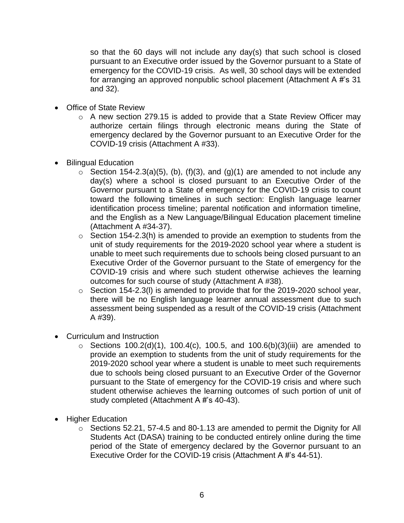so that the 60 days will not include any day(s) that such school is closed pursuant to an Executive order issued by the Governor pursuant to a State of emergency for the COVID-19 crisis. As well, 30 school days will be extended for arranging an approved nonpublic school placement (Attachment A #'s 31 and 32).

- Office of State Review
	- o A new section 279.15 is added to provide that a State Review Officer may authorize certain filings through electronic means during the State of emergency declared by the Governor pursuant to an Executive Order for the COVID-19 crisis (Attachment A #33).
- Bilingual Education
	- $\circ$  Section 154-2.3(a)(5), (b), (f)(3), and (g)(1) are amended to not include any Governor pursuant to a State of emergency for the COVID-19 crisis to count day(s) where a school is closed pursuant to an Executive Order of the toward the following timelines in such section: English language learner identification process timeline; parental notification and information timeline, and the English as a New Language/Bilingual Education placement timeline (Attachment A #34-37).
	- $\circ$  Section 154-2.3(h) is amended to provide an exemption to students from the unit of study requirements for the 2019-2020 school year where a student is unable to meet such requirements due to schools being closed pursuant to an Executive Order of the Governor pursuant to the State of emergency for the COVID-19 crisis and where such student otherwise achieves the learning outcomes for such course of study (Attachment A #38).
	- $\circ$  Section 154-2.3(I) is amended to provide that for the 2019-2020 school year, there will be no English language learner annual assessment due to such assessment being suspended as a result of the COVID-19 crisis (Attachment A #39).
- Curriculum and Instruction
	- $\circ$  Sections 100.2(d)(1), 100.4(c), 100.5, and 100.6(b)(3)(iii) are amended to due to schools being closed pursuant to an Executive Order of the Governor provide an exemption to students from the unit of study requirements for the 2019-2020 school year where a student is unable to meet such requirements pursuant to the State of emergency for the COVID-19 crisis and where such student otherwise achieves the learning outcomes of such portion of unit of study completed (Attachment A #'s 40-43).
- Higher Education
	- o Sections 52.21, 57-4.5 and 80-1.13 are amended to permit the Dignity for All Students Act (DASA) training to be conducted entirely online during the time period of the State of emergency declared by the Governor pursuant to an Executive Order for the COVID-19 crisis (Attachment A #'s 44-51).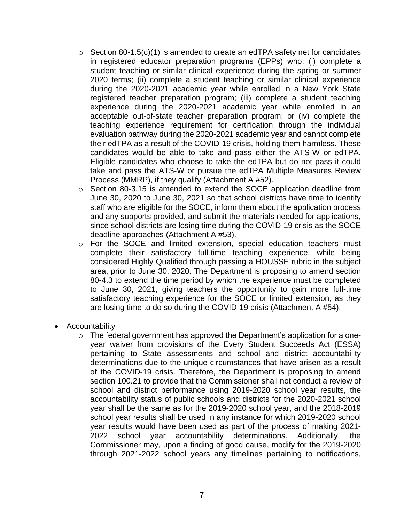- during the 2020-2021 academic year while enrolled in a New York State experience during the 2020-2021 academic year while enrolled in an their edTPA as a result of the COVID-19 crisis, holding them harmless. These Eligible candidates who choose to take the edTPA but do not pass it could take and pass the ATS-W or pursue the edTPA Multiple Measures Review  $\circ$  Section 80-1.5(c)(1) is amended to create an edTPA safety net for candidates in registered educator preparation programs (EPPs) who: (i) complete a student teaching or similar clinical experience during the spring or summer 2020 terms; (ii) complete a student teaching or similar clinical experience registered teacher preparation program; (iii) complete a student teaching acceptable out-of-state teacher preparation program; or (iv) complete the teaching experience requirement for certification through the individual evaluation pathway during the 2020-2021 academic year and cannot complete candidates would be able to take and pass either the ATS-W or edTPA. Process (MMRP), if they qualify (Attachment A #52).
- and any supports provided, and submit the materials needed for applications, o Section 80-3.15 is amended to extend the SOCE application deadline from June 30, 2020 to June 30, 2021 so that school districts have time to identify staff who are eligible for the SOCE, inform them about the application process since school districts are losing time during the COVID-19 crisis as the SOCE deadline approaches (Attachment A #53).
- considered Highly Qualified through passing a HOUSSE rubric in the subject o For the SOCE and limited extension, special education teachers must complete their satisfactory full-time teaching experience, while being area, prior to June 30, 2020. The Department is proposing to amend section 80-4.3 to extend the time period by which the experience must be completed to June 30, 2021, giving teachers the opportunity to gain more full-time satisfactory teaching experience for the SOCE or limited extension, as they are losing time to do so during the COVID-19 crisis (Attachment A #54).
- Accountability
	- year waiver from provisions of the Every Student Succeeds Act (ESSA) pertaining to State assessments and school and district accountability determinations due to the unique circumstances that have arisen as a result section 100.21 to provide that the Commissioner shall not conduct a review of year shall be the same as for the 2019-2020 school year, and the 2018-2019 school Commissioner may, upon a finding of good cause, modify for the 2019-2020 o The federal government has approved the Department's application for a oneof the COVID-19 crisis. Therefore, the Department is proposing to amend school and district performance using 2019-2020 school year results, the accountability status of public schools and districts for the 2020-2021 school school year results shall be used in any instance for which 2019-2020 school year results would have been used as part of the process of making 2021- 2022 school year accountability determinations. Additionally, the through 2021-2022 school years any timelines pertaining to notifications,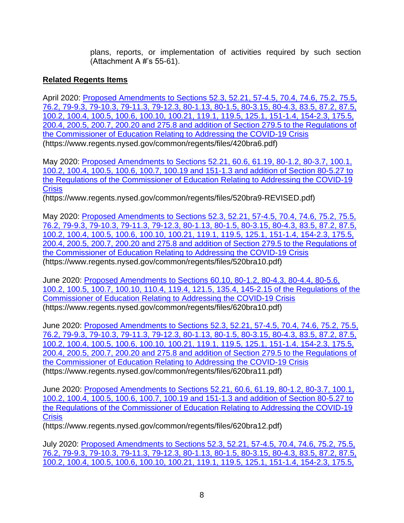plans, reports, or implementation of activities required by such section (Attachment A #'s 55-61).

## **Related Regents Items**

April 2020: Proposed Amendments to Sections 52.3, 52.21, 57-4.5, 70.4, 74.6, 75.2, 75.5, [76.2, 79-9.3, 79-10.3, 79-11.3, 79-12.3, 80-1.13, 80-1.5, 80-3.15, 80-4.3, 83.5, 87.2, 87.5,](https://www.regents.nysed.gov/common/regents/files/420bra6.pdf)  [100.2, 100.4, 100.5, 100.6, 100.10, 100.21, 119.1, 119.5, 125.1, 151-1.4, 154-2.3, 175.5,](https://www.regents.nysed.gov/common/regents/files/420bra6.pdf)  [200.4, 200.5, 200.7, 200.20 and 275.8 and addition of Section 279.5 to the Regulations of](https://www.regents.nysed.gov/common/regents/files/420bra6.pdf)  [the Commissioner of Education Relating to Addressing the COVID-19 Crisis](https://www.regents.nysed.gov/common/regents/files/420bra6.pdf)  (https://www.regents.nysed.gov/common/regents/files/420bra6.pdf)

May 2020: [Proposed Amendments to Sections 52.21, 60.6, 61.19, 80-1.2, 80-3.7, 100.1,](https://www.regents.nysed.gov/common/regents/files/520bra9-REVISED.pdf)  [100.2, 100.4, 100.5, 100.6, 100.7, 100.19 and 151-1.3 and addition of Section 80-5.27 to](https://www.regents.nysed.gov/common/regents/files/520bra9-REVISED.pdf)  [the Regulations of the Commissioner of Education Relating to Addressing the COVID-19](https://www.regents.nysed.gov/common/regents/files/520bra9-REVISED.pdf)  **Crisis** 

(https://www.regents.nysed.gov/common/regents/files/520bra9-REVISED.pdf)

May 2020: [Proposed Amendments to Sections 52.3, 52.21, 57-4.5, 70.4, 74.6, 75.2, 75.5,](https://www.regents.nysed.gov/common/regents/files/520bra10.pdf)  [76.2, 79-9.3, 79-10.3, 79-11.3, 79-12.3, 80-1.13, 80-1.5, 80-3.15, 80-4.3, 83.5, 87.2, 87.5,](https://www.regents.nysed.gov/common/regents/files/520bra10.pdf)  [100.2, 100.4, 100.5, 100.6, 100.10, 100.21, 119.1, 119.5, 125.1, 151-1.4, 154-2.3, 175.5,](https://www.regents.nysed.gov/common/regents/files/520bra10.pdf)  [200.4, 200.5, 200.7, 200.20 and 275.8 and addition of Section 279.5 to the Regulations of](https://www.regents.nysed.gov/common/regents/files/520bra10.pdf)  [the Commissioner of Education Relating to Addressing the COVID-19 Crisis](https://www.regents.nysed.gov/common/regents/files/520bra10.pdf)  (https://www.regents.nysed.gov/common/regents/files/520bra10.pdf)

June 2020: [Proposed Amendments to Sections 60.10, 80-1.2, 80-4.3, 80-4.4, 80-5.6,](https://www.regents.nysed.gov/common/regents/files/620bra10.pdf)  [100.2, 100.5, 100.7, 100.10, 110.4, 119.4, 121.5, 135.4, 145-2.15 of the Regulations of the](https://www.regents.nysed.gov/common/regents/files/620bra10.pdf)  [Commissioner of Education Relating to Addressing the COVID-19 Crisis](https://www.regents.nysed.gov/common/regents/files/620bra10.pdf)  (https://www.regents.nysed.gov/common/regents/files/620bra10.pdf)

June 2020: [Proposed Amendments to Sections 52.3, 52.21, 57-4.5, 70.4, 74.6, 75.2, 75.5,](https://www.regents.nysed.gov/common/regents/files/620bra11.pdf)  [76.2, 79-9.3, 79-10.3, 79-11.3, 79-12.3, 80-1.13, 80-1.5, 80-3.15, 80-4.3, 83.5, 87.2, 87.5,](https://www.regents.nysed.gov/common/regents/files/620bra11.pdf)  [100.2, 100.4, 100.5, 100.6, 100.10, 100.21, 119.1, 119.5, 125.1, 151-1.4, 154-2.3, 175.5,](https://www.regents.nysed.gov/common/regents/files/620bra11.pdf)  [200.4, 200.5, 200.7, 200.20 and 275.8 and addition of Section 279.5 to the Regulations of](https://www.regents.nysed.gov/common/regents/files/620bra11.pdf)  [the Commissioner of Education Relating to Addressing the COVID-19 Crisis](https://www.regents.nysed.gov/common/regents/files/620bra11.pdf)  (https://www.regents.nysed.gov/common/regents/files/620bra11.pdf)

June 2020: [Proposed Amendments to Sections 52.21, 60.6, 61.19, 80-1.2, 80-3.7, 100.1,](https://www.regents.nysed.gov/common/regents/files/620bra12.pdf)  [100.2, 100.4, 100.5, 100.6, 100.7, 100.19 and 151-1.3 and addition of Section 80-5.27 to](https://www.regents.nysed.gov/common/regents/files/620bra12.pdf)  [the Regulations of the Commissioner of Education Relating to Addressing the COVID-19](https://www.regents.nysed.gov/common/regents/files/620bra12.pdf)  **Crisis** 

(https://www.regents.nysed.gov/common/regents/files/620bra12.pdf)

July 2020: [Proposed Amendments to Sections 52.3, 52.21, 57-4.5, 70.4, 74.6, 75.2, 75.5,](https://www.regents.nysed.gov/common/regents/files/720bra7.pdf)  [76.2, 79-9.3, 79-10.3, 79-11.3, 79-12.3, 80-1.13, 80-1.5, 80-3.15, 80-4.3, 83.5, 87.2, 87.5,](https://www.regents.nysed.gov/common/regents/files/720bra7.pdf)  [100.2, 100.4, 100.5, 100.6, 100.10, 100.21, 119.1, 119.5, 125.1, 151-1.4, 154-2.3, 175.5,](https://www.regents.nysed.gov/common/regents/files/720bra7.pdf)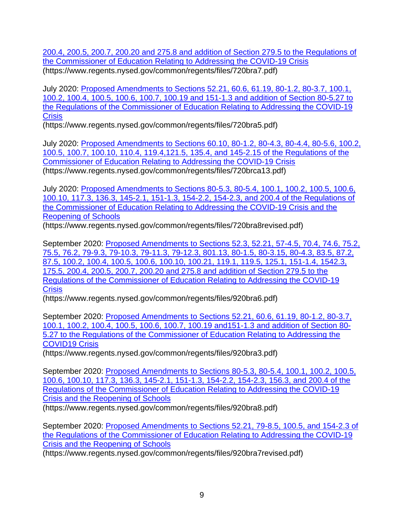[200.4, 200.5, 200.7, 200.20 and 275.8 and addition of Section 279.5 to the Regulations of](https://www.regents.nysed.gov/common/regents/files/720bra7.pdf)  [the Commissioner of Education Relating to Addressing the COVID-19 Crisis](https://www.regents.nysed.gov/common/regents/files/720bra7.pdf)  (https://www.regents.nysed.gov/common/regents/files/720bra7.pdf)

July 2020: [Proposed Amendments to Sections 52.21, 60.6, 61.19, 80-1.2, 80-3.7, 100.1,](https://www.regents.nysed.gov/common/regents/files/720bra5.pdf)  [100.2, 100.4, 100.5, 100.6, 100.7, 100.19 and 151-1.3 and addition of Section 80-5.27 to](https://www.regents.nysed.gov/common/regents/files/720bra5.pdf)  [the Regulations of the Commissioner of Education Relating to Addressing the COVID-19](https://www.regents.nysed.gov/common/regents/files/720bra5.pdf)  **Crisis** 

[\(https://www.regents.nysed.gov/common/regents/files/720bra5.pdf\)](https://www.regents.nysed.gov/common/regents/files/720bra5.pdf)

July 2020: [Proposed Amendments to Sections 60.10, 80-1.2, 80-4.3, 80-4.4, 80-5.6, 100.2,](https://www.regents.nysed.gov/common/regents/files/720brca13.pdf)  [100.5, 100.7, 100.10, 110.4, 119.4,121.5, 135.4, and 145-2.15 of the Regulations of the](https://www.regents.nysed.gov/common/regents/files/720brca13.pdf)  [Commissioner of Education Relating to Addressing the COVID-19 Crisis](https://www.regents.nysed.gov/common/regents/files/720brca13.pdf)  [\(https://www.regents.nysed.gov/common/regents/files/720brca13.pdf\)](https://www.regents.nysed.gov/common/regents/files/720brca13.pdf)

July 2020: [Proposed Amendments to Sections 80-5.3, 80-5.4, 100.1, 100.2, 100.5, 100.6,](https://www.regents.nysed.gov/common/regents/files/720bra8revised.pdf)  [100.10, 117.3, 136.3, 145-2.1, 151-1.3, 154-2.2, 154-2.3, and 200.4 of the Regulations of](https://www.regents.nysed.gov/common/regents/files/720bra8revised.pdf)  [the Commissioner of Education Relating to Addressing the COVID-19 Crisis and the](https://www.regents.nysed.gov/common/regents/files/720bra8revised.pdf)  [Reopening of Schools](https://www.regents.nysed.gov/common/regents/files/720bra8revised.pdf) 

[\(https://www.regents.nysed.gov/common/regents/files/720bra8revised.pdf\)](https://www.regents.nysed.gov/common/regents/files/720bra8revised.pdf)

September 2020: [Proposed Amendments to Sections 52.3, 52.21, 57-4.5, 70.4, 74.6, 75.2,](https://www.regents.nysed.gov/common/regents/files/920bra6.pdf)  [75.5, 76.2, 79-9.3, 79-10.3, 79-11.3, 79-12.3, 801.13, 80-1.5, 80-3.15, 80-4.3, 83.5, 87.2,](https://www.regents.nysed.gov/common/regents/files/920bra6.pdf)  [87.5, 100.2, 100.4, 100.5, 100.6, 100.10, 100.21, 119.1, 119.5, 125.1, 151-1.4, 1542.3,](https://www.regents.nysed.gov/common/regents/files/920bra6.pdf)  [175.5, 200.4, 200.5, 200.7, 200.20 and 275.8 and addition of Section 279.5 to the](https://www.regents.nysed.gov/common/regents/files/920bra6.pdf)  [Regulations of the Commissioner of Education Relating to Addressing the COVID-19](https://www.regents.nysed.gov/common/regents/files/920bra6.pdf)  **Crisis** 

(https://www.regents.nysed.gov/common/regents/files/920bra6.pdf)

September 2020: [Proposed Amendments to Sections 52.21, 60.6, 61.19, 80-1.2, 80-3.7,](https://www.regents.nysed.gov/common/regents/files/920bra3.pdf)  [100.1, 100.2, 100.4, 100.5, 100.6, 100.7, 100.19 and151-1.3 and addition of Section 80-](https://www.regents.nysed.gov/common/regents/files/920bra3.pdf) [5.27 to the Regulations of the Commissioner of Education Relating to Addressing the](https://www.regents.nysed.gov/common/regents/files/920bra3.pdf)  [COVID19 Crisis](https://www.regents.nysed.gov/common/regents/files/920bra3.pdf) 

(https://www.regents.nysed.gov/common/regents/files/920bra3.pdf)

September 2020: [Proposed Amendments to Sections 80-5.3, 80-5.4, 100.1, 100.2, 100.5,](https://www.regents.nysed.gov/common/regents/files/920bra8.pdf)  [100.6, 100.10, 117.3, 136.3, 145-2.1, 151-1.3, 154-2.2, 154-2.3, 156.3, and 200.4 of the](https://www.regents.nysed.gov/common/regents/files/920bra8.pdf)  [Regulations of the Commissioner of Education Relating to Addressing the COVID-19](https://www.regents.nysed.gov/common/regents/files/920bra8.pdf)  [Crisis and the Reopening of Schools](https://www.regents.nysed.gov/common/regents/files/920bra8.pdf) 

(https://www.regents.nysed.gov/common/regents/files/920bra8.pdf)

September 2020: [Proposed Amendments to Sections 52.21, 79-8.5, 100.5, and 154-2.3 of](https://www.regents.nysed.gov/common/regents/files/920bra7revised.pdf)  [the Regulations of the Commissioner of Education Relating to Addressing the COVID-19](https://www.regents.nysed.gov/common/regents/files/920bra7revised.pdf)  [Crisis and the Reopening of Schools](https://www.regents.nysed.gov/common/regents/files/920bra7revised.pdf) 

(https://www.regents.nysed.gov/common/regents/files/920bra7revised.pdf)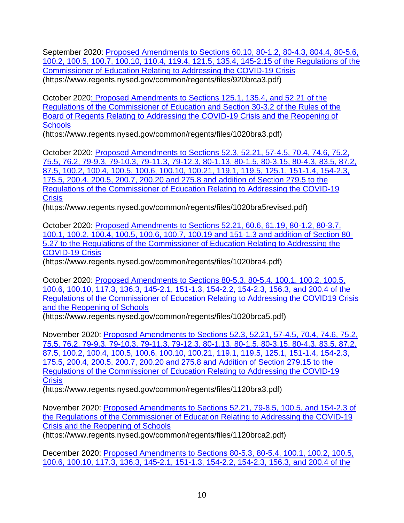September 2020: [Proposed Amendments to Sections 60.10, 80-1.2, 80-4.3, 804.4, 80-5.6,](https://www.regents.nysed.gov/common/regents/files/920brca3.pdf)  [100.2, 100.5, 100.7, 100.10, 110.4, 119.4, 121.5, 135.4, 145-2.15 of the Regulations of the](https://www.regents.nysed.gov/common/regents/files/920brca3.pdf)  [Commissioner of Education Relating to Addressing the COVID-19 Crisis](https://www.regents.nysed.gov/common/regents/files/920brca3.pdf)  (https://www.regents.nysed.gov/common/regents/files/920brca3.pdf)

October 202[0: Proposed Amendments to Sections 125.1, 135.4, and 52.21 of the](https://www.regents.nysed.gov/common/regents/files/1020bra3.pdf)  [Regulations of the Commissioner of Education and Section 30-3.2 of the Rules of the](https://www.regents.nysed.gov/common/regents/files/1020bra3.pdf)  [Board of Regents Relating to Addressing the COVID-19 Crisis and the Reopening of](https://www.regents.nysed.gov/common/regents/files/1020bra3.pdf)  **Schools** 

(https://www.regents.nysed.gov/common/regents/files/1020bra3.pdf)

October 2020: [Proposed Amendments to Sections 52.3, 52.21, 57-4.5, 70.4, 74.6, 75.2,](https://www.regents.nysed.gov/common/regents/files/1020bra5revised.pdf)  [75.5, 76.2, 79-9.3, 79-10.3, 79-11.3, 79-12.3, 80-1.13, 80-1.5, 80-3.15, 80-4.3, 83.5, 87.2,](https://www.regents.nysed.gov/common/regents/files/1020bra5revised.pdf)  [87.5, 100.2, 100.4, 100.5, 100.6, 100.10, 100.21, 119.1, 119.5, 125.1, 151-1.4, 154-2.3,](https://www.regents.nysed.gov/common/regents/files/1020bra5revised.pdf)  [175.5, 200.4, 200.5, 200.7, 200.20 and 275.8 and addition of Section 279.5 to the](https://www.regents.nysed.gov/common/regents/files/1020bra5revised.pdf)  [Regulations of the Commissioner of Education Relating to Addressing the COVID-19](https://www.regents.nysed.gov/common/regents/files/1020bra5revised.pdf)  **Crisis** 

(https://www.regents.nysed.gov/common/regents/files/1020bra5revised.pdf)

October 2020: [Proposed Amendments to Sections 52.21, 60.6, 61.19, 80-1.2, 80-3.7,](https://www.regents.nysed.gov/common/regents/files/1020bra4.pdf)  [100.1, 100.2, 100.4, 100.5, 100.6, 100.7, 100.19 and 151-1.3 and addition of Section 80-](https://www.regents.nysed.gov/common/regents/files/1020bra4.pdf) [5.27 to the Regulations of the Commissioner of Education Relating to Addressing the](https://www.regents.nysed.gov/common/regents/files/1020bra4.pdf)  [COVID-19 Crisis](https://www.regents.nysed.gov/common/regents/files/1020bra4.pdf) 

(https://www.regents.nysed.gov/common/regents/files/1020bra4.pdf)

October 2020: [Proposed Amendments to Sections 80-5.3, 80-5.4, 100.1, 100.2, 100.5,](https://www.regents.nysed.gov/common/regents/files/1020brca5.pdf)  [100.6, 100.10, 117.3, 136.3, 145-2.1, 151-1.3, 154-2.2, 154-2.3, 156.3, and 200.4 of the](https://www.regents.nysed.gov/common/regents/files/1020brca5.pdf)  [Regulations of the Commissioner of Education Relating to Addressing the COVID19 Crisis](https://www.regents.nysed.gov/common/regents/files/1020brca5.pdf)  [and the Reopening of Schools](https://www.regents.nysed.gov/common/regents/files/1020brca5.pdf) 

(https://www.regents.nysed.gov/common/regents/files/1020brca5.pdf)

November 2020: [Proposed Amendments to Sections 52.3, 52.21, 57-4.5, 70.4, 74.6, 75.2,](https://www.regents.nysed.gov/common/regents/files/1120bra3.pdf)  [75.5, 76.2, 79-9.3, 79-10.3, 79-11.3, 79-12.3, 80-1.13, 80-1.5, 80-3.15, 80-4.3, 83.5, 87.2,](https://www.regents.nysed.gov/common/regents/files/1120bra3.pdf)  [87.5, 100.2, 100.4, 100.5, 100.6, 100.10, 100.21, 119.1, 119.5, 125.1, 151-1.4, 154-2.3,](https://www.regents.nysed.gov/common/regents/files/1120bra3.pdf)  [175.5, 200.4, 200.5, 200.7, 200.20 and 275.8 and Addition of Section 279.15 to the](https://www.regents.nysed.gov/common/regents/files/1120bra3.pdf)  [Regulations of the Commissioner of Education Relating to Addressing the COVID-19](https://www.regents.nysed.gov/common/regents/files/1120bra3.pdf)  **Crisis** 

(https://www.regents.nysed.gov/common/regents/files/1120bra3.pdf)

November 2020: [Proposed Amendments to Sections 52.21, 79-8.5, 100.5, and 154-2.3 of](https://www.regents.nysed.gov/common/regents/files/1120brca2.pdf)  [the Regulations of the Commissioner of Education Relating to Addressing the COVID-19](https://www.regents.nysed.gov/common/regents/files/1120brca2.pdf)  [Crisis and the Reopening of Schools](https://www.regents.nysed.gov/common/regents/files/1120brca2.pdf) 

(https://www.regents.nysed.gov/common/regents/files/1120brca2.pdf)

December 2020: [Proposed Amendments to Sections 80-5.3, 80-5.4, 100.1, 100.2, 100.5,](https://www.regents.nysed.gov/common/regents/files/1220brca7.pdf)  [100.6, 100.10, 117.3, 136.3, 145-2.1, 151-1.3, 154-2.2, 154-2.3, 156.3, and 200.4 of the](https://www.regents.nysed.gov/common/regents/files/1220brca7.pdf)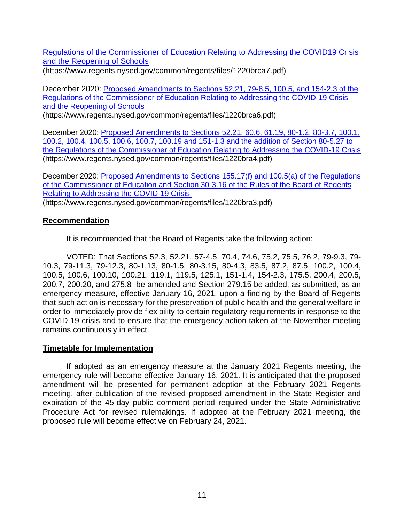[Regulations of the Commissioner of Education Relating to Addressing the COVID19 Crisis](https://www.regents.nysed.gov/common/regents/files/1220brca7.pdf)  [and the Reopening of Schools](https://www.regents.nysed.gov/common/regents/files/1220brca7.pdf) 

(https://www.regents.nysed.gov/common/regents/files/1220brca7.pdf)

December 2020: [Proposed Amendments to Sections 52.21, 79-8.5, 100.5, and 154-2.3 of the](https://www.regents.nysed.gov/common/regents/files/1220brca6.pdf)  [Regulations of the Commissioner of Education Relating to Addressing the COVID-19 Crisis](https://www.regents.nysed.gov/common/regents/files/1220brca6.pdf)  [and the Reopening of Schools](https://www.regents.nysed.gov/common/regents/files/1220brca6.pdf) 

(https://www.regents.nysed.gov/common/regents/files/1220brca6.pdf)

December 2020: [Proposed Amendments to Sections 52.21, 60.6, 61.19, 80-1.2, 80-3.7, 100.1,](https://www.regents.nysed.gov/common/regents/files/1220bra4.pdf)  [100.2, 100.4, 100.5, 100.6, 100.7, 100.19 and 151-1.3 and the addition of Section 80-5.27 to](https://www.regents.nysed.gov/common/regents/files/1220bra4.pdf)  [the Regulations of the Commissioner of Education Relating to Addressing the COVID-19 Crisis](https://www.regents.nysed.gov/common/regents/files/1220bra4.pdf)  (https://www.regents.nysed.gov/common/regents/files/1220bra4.pdf)

December 2020: [Proposed Amendments to Sections 155.17\(f\) and 100.5\(a\) of the Regulations](https://www.regents.nysed.gov/common/regents/files/1220bra3.pdf)  of the Commissioner of Education and Section 30-3.16 of the Rules of the Board of Regents [Relating to Addressing the COVID-19 Crisis](https://www.regents.nysed.gov/common/regents/files/1220bra3.pdf) 

(https://www.regents.nysed.gov/common/regents/files/1220bra3.pdf)

### **Recommendation**

It is recommended that the Board of Regents take the following action:

 10.3, 79-11.3, 79-12.3, 80-1.13, 80-1.5, 80-3.15, 80-4.3, 83.5, 87.2, 87.5, 100.2, 100.4, 100.5, 100.6, 100.10, 100.21, 119.1, 119.5, 125.1, 151-1.4, 154-2.3, 175.5, 200.4, 200.5, emergency measure, effective January 16, 2021, upon a finding by the Board of Regents order to immediately provide flexibility to certain regulatory requirements in response to the COVID-19 crisis and to ensure that the emergency action taken at the November meeting VOTED: That Sections 52.3, 52.21, 57-4.5, 70.4, 74.6, 75.2, 75.5, 76.2, 79-9.3, 79- 200.7, 200.20, and 275.8 be amended and Section 279.15 be added, as submitted, as an that such action is necessary for the preservation of public health and the general welfare in remains continuously in effect.

### **Timetable for Implementation**

 meeting, after publication of the revised proposed amendment in the State Register and Procedure Act for revised rulemakings. If adopted at the February 2021 meeting, the If adopted as an emergency measure at the January 2021 Regents meeting, the emergency rule will become effective January 16, 2021. It is anticipated that the proposed amendment will be presented for permanent adoption at the February 2021 Regents expiration of the 45-day public comment period required under the State Administrative proposed rule will become effective on February 24, 2021.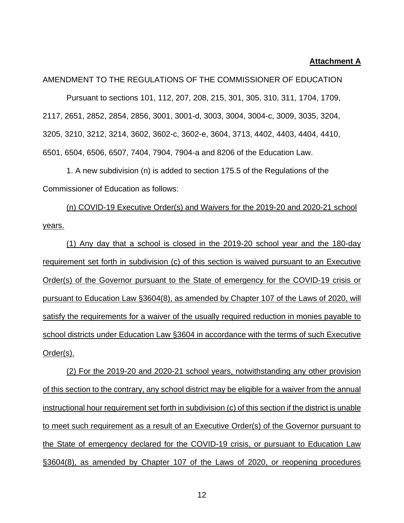#### **Attachment A**

AMENDMENT TO THE REGULATIONS OF THE COMMISSIONER OF EDUCATION Pursuant to sections 101, 112, 207, 208, 215, 301, 305, 310, 311, 1704, 1709, 2117, 2651, 2852, 2854, 2856, 3001, 3001-d, 3003, 3004, 3004-c, 3009, 3035, 3204, 3205, 3210, 3212, 3214, 3602, 3602-c, 3602-e, 3604, 3713, 4402, 4403, 4404, 4410, 6501, 6504, 6506, 6507, 7404, 7904, 7904-a and 8206 of the Education Law.

1. A new subdivision (n) is added to section 175.5 of the Regulations of the Commissioner of Education as follows:

(n) COVID-19 Executive Order(s) and Waivers for the 2019-20 and 2020-21 school years.

 Order(s) of the Governor pursuant to the State of emergency for the COVID-19 crisis or satisfy the requirements for a waiver of the usually required reduction in monies payable to school districts under Education Law §3604 in accordance with the terms of such Executive (1) Any day that a school is closed in the 2019-20 school year and the 180-day requirement set forth in subdivision (c) of this section is waived pursuant to an Executive pursuant to Education Law §3604(8), as amended by Chapter 107 of the Laws of 2020, will Order(s).

 (2) For the 2019-20 and 2020-21 school years, notwithstanding any other provision of this section to the contrary, any school district may be eligible for a waiver from the annual instructional hour requirement set forth in subdivision (c) of this section if the district is unable to meet such requirement as a result of an Executive Order(s) of the Governor pursuant to the State of emergency declared for the COVID-19 crisis, or pursuant to Education Law §3604(8), as amended by Chapter 107 of the Laws of 2020, or reopening procedures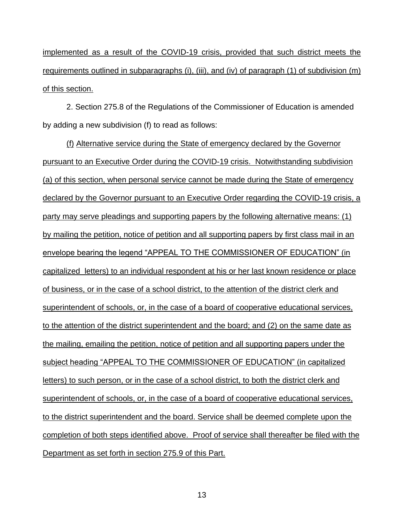implemented as a result of the COVID-19 crisis, provided that such district meets the requirements outlined in subparagraphs (i), (iii), and (iv) of paragraph (1) of subdivision (m) of this section.

2. Section 275.8 of the Regulations of the Commissioner of Education is amended by adding a new subdivision (f) to read as follows:

(f) Alternative service during the State of emergency declared by the Governor pursuant to an Executive Order during the COVID-19 crisis. Notwithstanding subdivision (a) of this section, when personal service cannot be made during the State of emergency declared by the Governor pursuant to an Executive Order regarding the COVID-19 crisis, a party may serve pleadings and supporting papers by the following alternative means: (1) by mailing the petition, notice of petition and all supporting papers by first class mail in an envelope bearing the legend "APPEAL TO THE COMMISSIONER OF EDUCATION" (in capitalized letters) to an individual respondent at his or her last known residence or place of business, or in the case of a school district, to the attention of the district clerk and superintendent of schools, or, in the case of a board of cooperative educational services, to the attention of the district superintendent and the board; and (2) on the same date as the mailing, emailing the petition, notice of petition and all supporting papers under the subject heading "APPEAL TO THE COMMISSIONER OF EDUCATION" (in capitalized letters) to such person, or in the case of a school district, to both the district clerk and superintendent of schools, or, in the case of a board of cooperative educational services, to the district superintendent and the board. Service shall be deemed complete upon the completion of both steps identified above. Proof of service shall thereafter be filed with the Department as set forth in section 275.9 of this Part.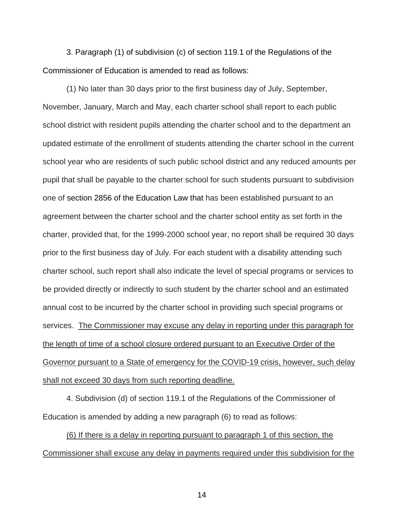3. Paragraph (1) of subdivision (c) of section 119.1 of the Regulations of the Commissioner of Education is amended to read as follows:

(1) No later than 30 days prior to the first business day of July, September, November, January, March and May, each charter school shall report to each public school district with resident pupils attending the charter school and to the department an updated estimate of the enrollment of students attending the charter school in the current school year who are residents of such public school district and any reduced amounts per pupil that shall be payable to the charter school for such students pursuant to subdivision one of section 2856 of the Education Law that has been established pursuant to an agreement between the charter school and the charter school entity as set forth in the charter, provided that, for the 1999-2000 school year, no report shall be required 30 days prior to the first business day of July. For each student with a disability attending such charter school, such report shall also indicate the level of special programs or services to be provided directly or indirectly to such student by the charter school and an estimated annual cost to be incurred by the charter school in providing such special programs or services. The Commissioner may excuse any delay in reporting under this paragraph for the length of time of a school closure ordered pursuant to an Executive Order of the Governor pursuant to a State of emergency for the COVID-19 crisis, however, such delay shall not exceed 30 days from such reporting deadline.

4. Subdivision (d) of section 119.1 of the Regulations of the Commissioner of Education is amended by adding a new paragraph (6) to read as follows:

(6) If there is a delay in reporting pursuant to paragraph 1 of this section, the Commissioner shall excuse any delay in payments required under this subdivision for the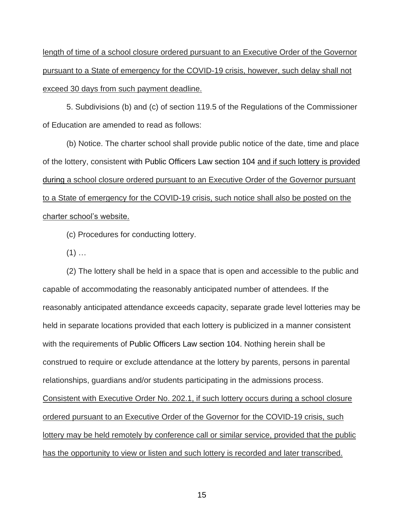length of time of a school closure ordered pursuant to an Executive Order of the Governor pursuant to a State of emergency for the COVID-19 crisis, however, such delay shall not exceed 30 days from such payment deadline.

5. Subdivisions (b) and (c) of section 119.5 of the Regulations of the Commissioner of Education are amended to read as follows:

(b) Notice. The charter school shall provide public notice of the date, time and place of the lottery, consistent with Public Officers Law section 104 and if such lottery is provided during a school closure ordered pursuant to an Executive Order of the Governor pursuant to a State of emergency for the COVID-19 crisis, such notice shall also be posted on the charter school's website.

(c) Procedures for conducting lottery.

 $(1)$  ...

(2) The lottery shall be held in a space that is open and accessible to the public and capable of accommodating the reasonably anticipated number of attendees. If the reasonably anticipated attendance exceeds capacity, separate grade level lotteries may be held in separate locations provided that each lottery is publicized in a manner consistent with the requirements of Public Officers Law section 104. Nothing herein shall be construed to require or exclude attendance at the lottery by parents, persons in parental relationships, guardians and/or students participating in the admissions process. Consistent with Executive Order No. 202.1, if such lottery occurs during a school closure ordered pursuant to an Executive Order of the Governor for the COVID-19 crisis, such lottery may be held remotely by conference call or similar service, provided that the public has the opportunity to view or listen and such lottery is recorded and later transcribed.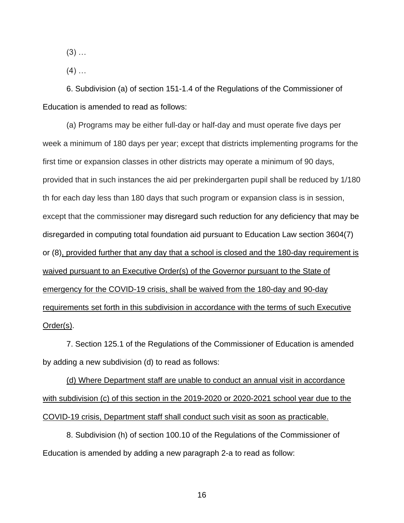$(3)$  ...

 $(4)$  ...

6. Subdivision (a) of section 151-1.4 of the Regulations of the Commissioner of Education is amended to read as follows:

(a) Programs may be either full-day or half-day and must operate five days per week a minimum of 180 days per year; except that districts implementing programs for the first time or expansion classes in other districts may operate a minimum of 90 days, provided that in such instances the aid per prekindergarten pupil shall be reduced by 1/180 th for each day less than 180 days that such program or expansion class is in session, except that the commissioner may disregard such reduction for any deficiency that may be disregarded in computing total foundation aid pursuant to Education Law section 3604(7) or (8), provided further that any day that a school is closed and the 180-day requirement is waived pursuant to an Executive Order(s) of the Governor pursuant to the State of emergency for the COVID-19 crisis, shall be waived from the 180-day and 90-day requirements set forth in this subdivision in accordance with the terms of such Executive Order(s).

7. Section 125.1 of the Regulations of the Commissioner of Education is amended by adding a new subdivision (d) to read as follows:

(d) Where Department staff are unable to conduct an annual visit in accordance with subdivision (c) of this section in the 2019-2020 or 2020-2021 school year due to the COVID-19 crisis, Department staff shall conduct such visit as soon as practicable.

8. Subdivision (h) of section 100.10 of the Regulations of the Commissioner of Education is amended by adding a new paragraph 2-a to read as follow: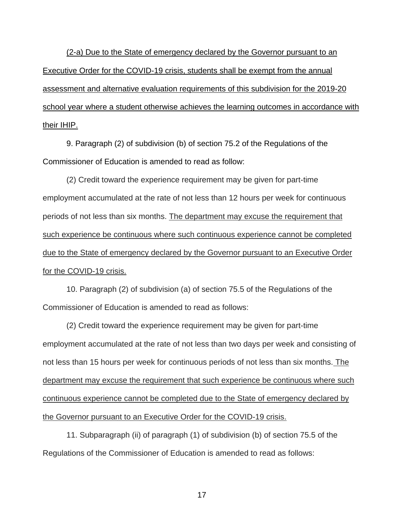(2-a) Due to the State of emergency declared by the Governor pursuant to an Executive Order for the COVID-19 crisis, students shall be exempt from the annual assessment and alternative evaluation requirements of this subdivision for the 2019-20 school year where a student otherwise achieves the learning outcomes in accordance with their IHIP.

9. Paragraph (2) of subdivision (b) of section 75.2 of the Regulations of the Commissioner of Education is amended to read as follow:

(2) Credit toward the experience requirement may be given for part-time employment accumulated at the rate of not less than 12 hours per week for continuous periods of not less than six months. The department may excuse the requirement that such experience be continuous where such continuous experience cannot be completed due to the State of emergency declared by the Governor pursuant to an Executive Order for the COVID-19 crisis.

10. Paragraph (2) of subdivision (a) of section 75.5 of the Regulations of the Commissioner of Education is amended to read as follows:

(2) Credit toward the experience requirement may be given for part-time employment accumulated at the rate of not less than two days per week and consisting of not less than 15 hours per week for continuous periods of not less than six months. The department may excuse the requirement that such experience be continuous where such continuous experience cannot be completed due to the State of emergency declared by the Governor pursuant to an Executive Order for the COVID-19 crisis.

11. Subparagraph (ii) of paragraph (1) of subdivision (b) of section 75.5 of the Regulations of the Commissioner of Education is amended to read as follows: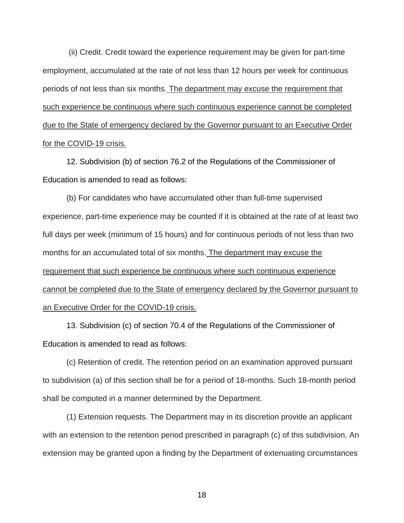(ii) Credit. Credit toward the experience requirement may be given for part-time employment, accumulated at the rate of not less than 12 hours per week for continuous periods of not less than six months. The department may excuse the requirement that such experience be continuous where such continuous experience cannot be completed due to the State of emergency declared by the Governor pursuant to an Executive Order for the COVID-19 crisis.

12. Subdivision (b) of section 76.2 of the Regulations of the Commissioner of Education is amended to read as follows:

(b) For candidates who have accumulated other than full-time supervised experience, part-time experience may be counted if it is obtained at the rate of at least two full days per week (minimum of 15 hours) and for continuous periods of not less than two months for an accumulated total of six months. The department may excuse the requirement that such experience be continuous where such continuous experience cannot be completed due to the State of emergency declared by the Governor pursuant to an Executive Order for the COVID-19 crisis.

13. Subdivision (c) of section 70.4 of the Regulations of the Commissioner of Education is amended to read as follows:

(c) Retention of credit. The retention period on an examination approved pursuant to subdivision (a) of this section shall be for a period of 18-months. Such 18-month period shall be computed in a manner determined by the Department.

(1) Extension requests. The Department may in its discretion provide an applicant with an extension to the retention period prescribed in paragraph (c) of this subdivision. An extension may be granted upon a finding by the Department of extenuating circumstances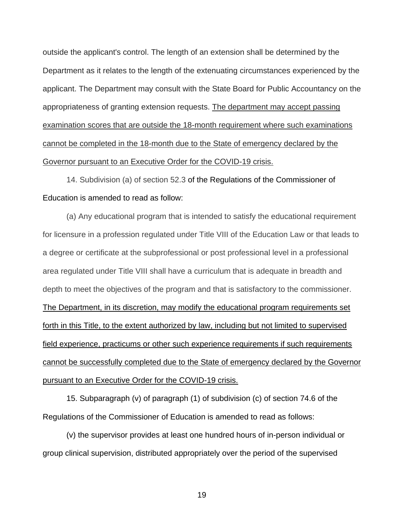outside the applicant's control. The length of an extension shall be determined by the Department as it relates to the length of the extenuating circumstances experienced by the applicant. The Department may consult with the State Board for Public Accountancy on the appropriateness of granting extension requests. The department may accept passing examination scores that are outside the 18-month requirement where such examinations cannot be completed in the 18-month due to the State of emergency declared by the Governor pursuant to an Executive Order for the COVID-19 crisis.

14. Subdivision (a) of section 52.3 of the Regulations of the Commissioner of Education is amended to read as follow:

(a) Any educational program that is intended to satisfy the educational requirement for licensure in a profession regulated under Title VIII of the Education Law or that leads to a degree or certificate at the subprofessional or post professional level in a professional area regulated under Title VIII shall have a curriculum that is adequate in breadth and depth to meet the objectives of the program and that is satisfactory to the commissioner. The Department, in its discretion, may modify the educational program requirements set forth in this Title, to the extent authorized by law, including but not limited to supervised field experience, practicums or other such experience requirements if such requirements cannot be successfully completed due to the State of emergency declared by the Governor pursuant to an Executive Order for the COVID-19 crisis.

15. Subparagraph (v) of paragraph (1) of subdivision (c) of section 74.6 of the Regulations of the Commissioner of Education is amended to read as follows:

(v) the supervisor provides at least one hundred hours of in-person individual or group clinical supervision, distributed appropriately over the period of the supervised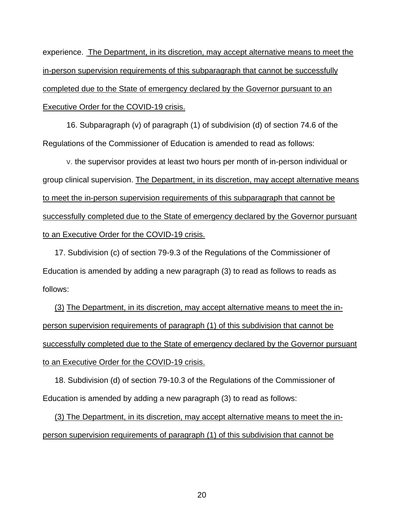experience. The Department, in its discretion, may accept alternative means to meet the in-person supervision requirements of this subparagraph that cannot be successfully completed due to the State of emergency declared by the Governor pursuant to an Executive Order for the COVID-19 crisis.

16. Subparagraph (v) of paragraph (1) of subdivision (d) of section 74.6 of the Regulations of the Commissioner of Education is amended to read as follows:

v. the supervisor provides at least two hours per month of in-person individual or group clinical supervision. The Department, in its discretion, may accept alternative means to meet the in-person supervision requirements of this subparagraph that cannot be successfully completed due to the State of emergency declared by the Governor pursuant to an Executive Order for the COVID-19 crisis.

17. Subdivision (c) of section 79-9.3 of the Regulations of the Commissioner of Education is amended by adding a new paragraph (3) to read as follows to reads as follows:

to an Executive Order for the COVID-19 crisis. (3) The Department, in its discretion, may accept alternative means to meet the inperson supervision requirements of paragraph (1) of this subdivision that cannot be successfully completed due to the State of emergency declared by the Governor pursuant

18. Subdivision (d) of section 79-10.3 of the Regulations of the Commissioner of Education is amended by adding a new paragraph (3) to read as follows:

(3) The Department, in its discretion, may accept alternative means to meet the inperson supervision requirements of paragraph (1) of this subdivision that cannot be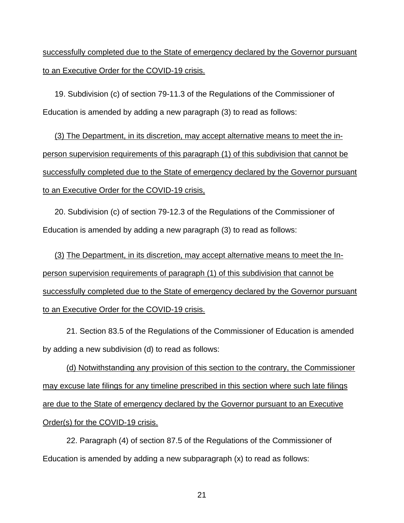successfully completed due to the State of emergency declared by the Governor pursuant to an Executive Order for the COVID-19 crisis.

19. Subdivision (c) of section 79-11.3 of the Regulations of the Commissioner of Education is amended by adding a new paragraph (3) to read as follows:

(3) The Department, in its discretion, may accept alternative means to meet the inperson supervision requirements of this paragraph (1) of this subdivision that cannot be successfully completed due to the State of emergency declared by the Governor pursuant to an Executive Order for the COVID-19 crisis,

20. Subdivision (c) of section 79-12.3 of the Regulations of the Commissioner of Education is amended by adding a new paragraph (3) to read as follows:

(3) The Department, in its discretion, may accept alternative means to meet the Inperson supervision requirements of paragraph (1) of this subdivision that cannot be successfully completed due to the State of emergency declared by the Governor pursuant to an Executive Order for the COVID-19 crisis.

21. Section 83.5 of the Regulations of the Commissioner of Education is amended by adding a new subdivision (d) to read as follows:

(d) Notwithstanding any provision of this section to the contrary, the Commissioner may excuse late filings for any timeline prescribed in this section where such late filings are due to the State of emergency declared by the Governor pursuant to an Executive Order(s) for the COVID-19 crisis.

22. Paragraph (4) of section 87.5 of the Regulations of the Commissioner of Education is amended by adding a new subparagraph (x) to read as follows: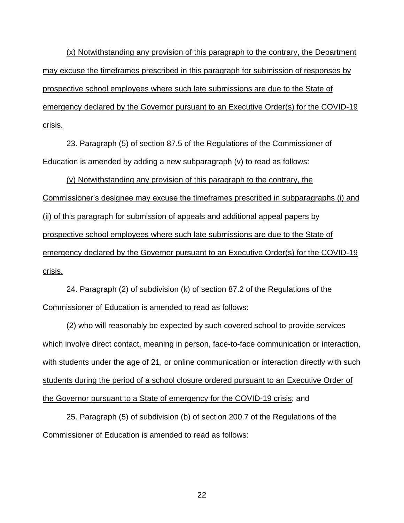(x) Notwithstanding any provision of this paragraph to the contrary, the Department may excuse the timeframes prescribed in this paragraph for submission of responses by prospective school employees where such late submissions are due to the State of emergency declared by the Governor pursuant to an Executive Order(s) for the COVID-19 crisis.

23. Paragraph (5) of section 87.5 of the Regulations of the Commissioner of Education is amended by adding a new subparagraph (v) to read as follows:

(v) Notwithstanding any provision of this paragraph to the contrary, the Commissioner's designee may excuse the timeframes prescribed in subparagraphs (i) and (ii) of this paragraph for submission of appeals and additional appeal papers by prospective school employees where such late submissions are due to the State of emergency declared by the Governor pursuant to an Executive Order(s) for the COVID-19 crisis.

24. Paragraph (2) of subdivision (k) of section 87.2 of the Regulations of the Commissioner of Education is amended to read as follows:

(2) who will reasonably be expected by such covered school to provide services which involve direct contact, meaning in person, face-to-face communication or interaction, with students under the age of 21, or online communication or interaction directly with such students during the period of a school closure ordered pursuant to an Executive Order of the Governor pursuant to a State of emergency for the COVID-19 crisis; and

25. Paragraph (5) of subdivision (b) of section 200.7 of the Regulations of the Commissioner of Education is amended to read as follows: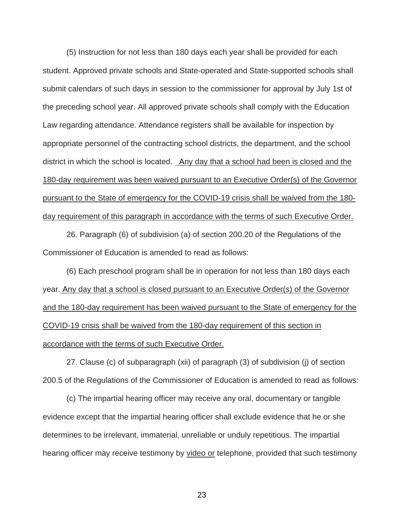district in which the school is located. Any day that a school had been is closed and the (5) Instruction for not less than 180 days each year shall be provided for each student. Approved private schools and State-operated and State-supported schools shall submit calendars of such days in session to the commissioner for approval by July 1st of the preceding school year. All approved private schools shall comply with the Education Law regarding attendance. Attendance registers shall be available for inspection by appropriate personnel of the contracting school districts, the department, and the school 180-day requirement was been waived pursuant to an Executive Order(s) of the Governor pursuant to the State of emergency for the COVID-19 crisis shall be waived from the 180 day requirement of this paragraph in accordance with the terms of such Executive Order.

26. Paragraph (6) of subdivision (a) of section 200.20 of the Regulations of the Commissioner of Education is amended to read as follows:

(6) Each preschool program shall be in operation for not less than 180 days each year. Any day that a school is closed pursuant to an Executive Order(s) of the Governor and the 180-day requirement has been waived pursuant to the State of emergency for the COVID-19 crisis shall be waived from the 180-day requirement of this section in accordance with the terms of such Executive Order.

27. Clause (c) of subparagraph (xii) of paragraph (3) of subdivision (j) of section 200.5 of the Regulations of the Commissioner of Education is amended to read as follows:

(c) The impartial hearing officer may receive any oral, documentary or tangible evidence except that the impartial hearing officer shall exclude evidence that he or she determines to be irrelevant, immaterial, unreliable or unduly repetitious. The impartial hearing officer may receive testimony by video or telephone, provided that such testimony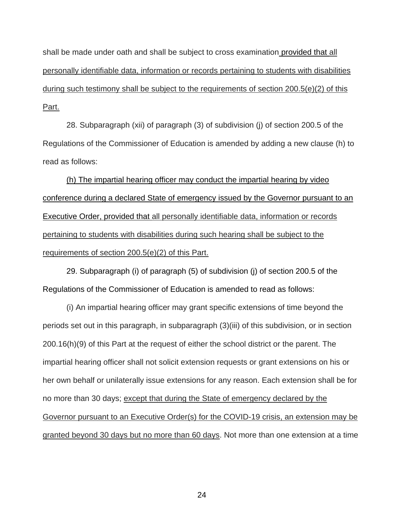shall be made under oath and shall be subject to cross examination provided that all personally identifiable data, information or records pertaining to students with disabilities during such testimony shall be subject to the requirements of section 200.5(e)(2) of this Part.

28. Subparagraph (xii) of paragraph (3) of subdivision (j) of section 200.5 of the Regulations of the Commissioner of Education is amended by adding a new clause (h) to read as follows:

(h) The impartial hearing officer may conduct the impartial hearing by video conference during a declared State of emergency issued by the Governor pursuant to an Executive Order, provided that all personally identifiable data, information or records pertaining to students with disabilities during such hearing shall be subject to the requirements of section 200.5(e)(2) of this Part.

29. Subparagraph (i) of paragraph (5) of subdivision (j) of section 200.5 of the Regulations of the Commissioner of Education is amended to read as follows:

(i) An impartial hearing officer may grant specific extensions of time beyond the periods set out in this paragraph, in subparagraph (3)(iii) of this subdivision, or in section 200.16(h)(9) of this Part at the request of either the school district or the parent. The impartial hearing officer shall not solicit extension requests or grant extensions on his or her own behalf or unilaterally issue extensions for any reason. Each extension shall be for no more than 30 days; except that during the State of emergency declared by the Governor pursuant to an Executive Order(s) for the COVID-19 crisis, an extension may be granted beyond 30 days but no more than 60 days. Not more than one extension at a time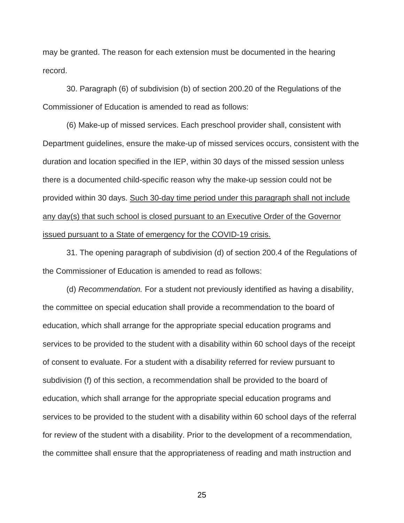may be granted. The reason for each extension must be documented in the hearing record.

30. Paragraph (6) of subdivision (b) of section 200.20 of the Regulations of the Commissioner of Education is amended to read as follows:

(6) Make-up of missed services. Each preschool provider shall, consistent with Department guidelines, ensure the make-up of missed services occurs, consistent with the duration and location specified in the IEP, within 30 days of the missed session unless there is a documented child-specific reason why the make-up session could not be provided within 30 days. Such 30-day time period under this paragraph shall not include any day(s) that such school is closed pursuant to an Executive Order of the Governor issued pursuant to a State of emergency for the COVID-19 crisis.

31. The opening paragraph of subdivision (d) of section 200.4 of the Regulations of the Commissioner of Education is amended to read as follows:

(d) *Recommendation.* For a student not previously identified as having a disability, the committee on special education shall provide a recommendation to the board of education, which shall arrange for the appropriate special education programs and services to be provided to the student with a disability within 60 school days of the receipt of consent to evaluate. For a student with a disability referred for review pursuant to subdivision (f) of this section, a recommendation shall be provided to the board of education, which shall arrange for the appropriate special education programs and services to be provided to the student with a disability within 60 school days of the referral for review of the student with a disability. Prior to the development of a recommendation, the committee shall ensure that the appropriateness of reading and math instruction and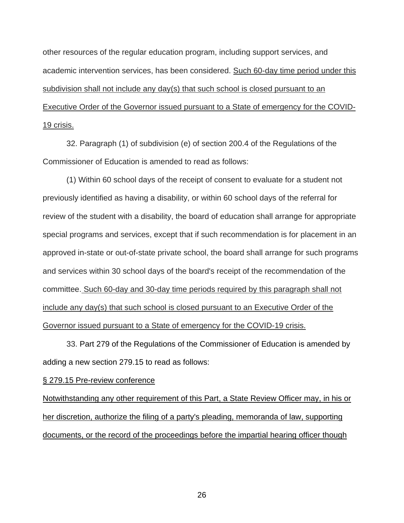other resources of the regular education program, including support services, and academic intervention services, has been considered. Such 60-day time period under this subdivision shall not include any day(s) that such school is closed pursuant to an Executive Order of the Governor issued pursuant to a State of emergency for the COVID-19 crisis.

32. Paragraph (1) of subdivision (e) of section 200.4 of the Regulations of the Commissioner of Education is amended to read as follows:

(1) Within 60 school days of the receipt of consent to evaluate for a student not previously identified as having a disability, or within 60 school days of the referral for review of the student with a disability, the board of education shall arrange for appropriate special programs and services, except that if such recommendation is for placement in an approved in-state or out-of-state private school, the board shall arrange for such programs and services within 30 school days of the board's receipt of the recommendation of the committee. Such 60-day and 30-day time periods required by this paragraph shall not include any day(s) that such school is closed pursuant to an Executive Order of the Governor issued pursuant to a State of emergency for the COVID-19 crisis.

33. Part 279 of the Regulations of the Commissioner of Education is amended by adding a new section 279.15 to read as follows:

§ 279.15 Pre-review conference

Notwithstanding any other requirement of this Part, a State Review Officer may, in his or her discretion, authorize the filing of a party's pleading, memoranda of law, supporting documents, or the record of the proceedings before the impartial hearing officer though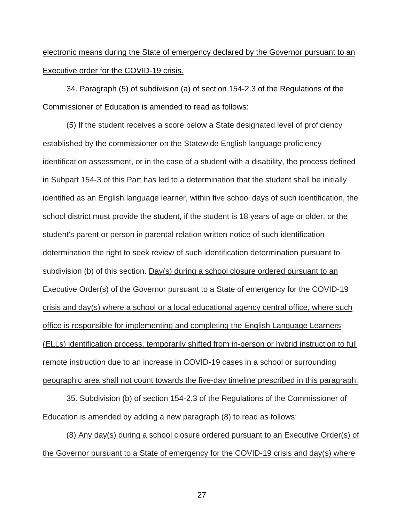# electronic means during the State of emergency declared by the Governor pursuant to an Executive order for the COVID-19 crisis.

34. Paragraph (5) of subdivision (a) of section 154-2.3 of the Regulations of the Commissioner of Education is amended to read as follows:

(5) If the student receives a score below a State designated level of proficiency established by the commissioner on the Statewide English language proficiency identification assessment, or in the case of a student with a disability, the process defined in Subpart 154-3 of this Part has led to a determination that the student shall be initially identified as an English language learner, within five school days of such identification, the school district must provide the student, if the student is 18 years of age or older, or the student's parent or person in parental relation written notice of such identification determination the right to seek review of such identification determination pursuant to subdivision (b) of this section. Day(s) during a school closure ordered pursuant to an Executive Order(s) of the Governor pursuant to a State of emergency for the COVID-19 crisis and day(s) where a school or a local educational agency central office, where such office is responsible for implementing and completing the English Language Learners (ELLs) identification process, temporarily shifted from in-person or hybrid instruction to full remote instruction due to an increase in COVID-19 cases in a school or surrounding geographic area shall not count towards the five-day timeline prescribed in this paragraph.

35. Subdivision (b) of section 154-2.3 of the Regulations of the Commissioner of Education is amended by adding a new paragraph (8) to read as follows:

(8) Any day(s) during a school closure ordered pursuant to an Executive Order(s) of the Governor pursuant to a State of emergency for the COVID-19 crisis and day(s) where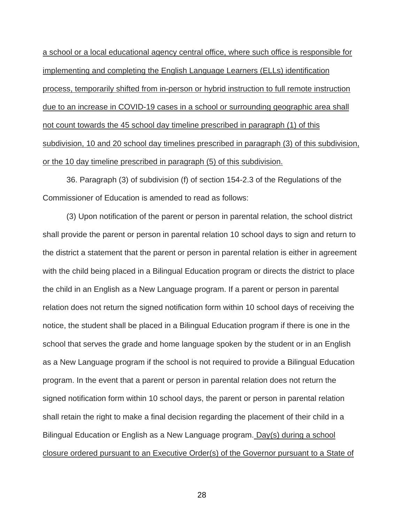a school or a local educational agency central office, where such office is responsible for implementing and completing the English Language Learners (ELLs) identification process, temporarily shifted from in-person or hybrid instruction to full remote instruction due to an increase in COVID-19 cases in a school or surrounding geographic area shall not count towards the 45 school day timeline prescribed in paragraph (1) of this subdivision, 10 and 20 school day timelines prescribed in paragraph (3) of this subdivision, or the 10 day timeline prescribed in paragraph (5) of this subdivision.

36. Paragraph (3) of subdivision (f) of section 154-2.3 of the Regulations of the Commissioner of Education is amended to read as follows:

(3) Upon notification of the parent or person in parental relation, the school district shall provide the parent or person in parental relation 10 school days to sign and return to the district a statement that the parent or person in parental relation is either in agreement with the child being placed in a Bilingual Education program or directs the district to place the child in an English as a New Language program. If a parent or person in parental relation does not return the signed notification form within 10 school days of receiving the notice, the student shall be placed in a Bilingual Education program if there is one in the school that serves the grade and home language spoken by the student or in an English as a New Language program if the school is not required to provide a Bilingual Education program. In the event that a parent or person in parental relation does not return the signed notification form within 10 school days, the parent or person in parental relation shall retain the right to make a final decision regarding the placement of their child in a Bilingual Education or English as a New Language program. Day(s) during a school closure ordered pursuant to an Executive Order(s) of the Governor pursuant to a State of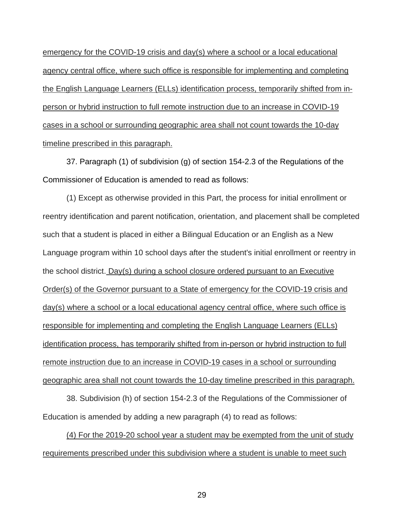emergency for the COVID-19 crisis and day(s) where a school or a local educational agency central office, where such office is responsible for implementing and completing the English Language Learners (ELLs) identification process, temporarily shifted from inperson or hybrid instruction to full remote instruction due to an increase in COVID-19 cases in a school or surrounding geographic area shall not count towards the 10-day timeline prescribed in this paragraph.

37. Paragraph (1) of subdivision (g) of section 154-2.3 of the Regulations of the Commissioner of Education is amended to read as follows:

(1) Except as otherwise provided in this Part, the process for initial enrollment or reentry identification and parent notification, orientation, and placement shall be completed such that a student is placed in either a Bilingual Education or an English as a New Language program within 10 school days after the student's initial enrollment or reentry in the school district. Day(s) during a school closure ordered pursuant to an Executive Order(s) of the Governor pursuant to a State of emergency for the COVID-19 crisis and day(s) where a school or a local educational agency central office, where such office is responsible for implementing and completing the English Language Learners (ELLs) identification process, has temporarily shifted from in-person or hybrid instruction to full remote instruction due to an increase in COVID-19 cases in a school or surrounding geographic area shall not count towards the 10-day timeline prescribed in this paragraph.

38. Subdivision (h) of section 154-2.3 of the Regulations of the Commissioner of Education is amended by adding a new paragraph (4) to read as follows:

(4) For the 2019-20 school year a student may be exempted from the unit of study requirements prescribed under this subdivision where a student is unable to meet such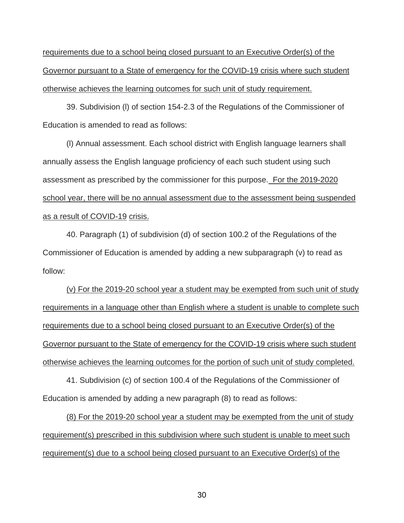requirements due to a school being closed pursuant to an Executive Order(s) of the Governor pursuant to a State of emergency for the COVID-19 crisis where such student otherwise achieves the learning outcomes for such unit of study requirement.

39. Subdivision (l) of section 154-2.3 of the Regulations of the Commissioner of Education is amended to read as follows:

assessment as prescribed by the commissioner for this purpose. For the 2019-2020 (l) Annual assessment. Each school district with English language learners shall annually assess the English language proficiency of each such student using such school year, there will be no annual assessment due to the assessment being suspended as a result of COVID-19 crisis.

40. Paragraph (1) of subdivision (d) of section 100.2 of the Regulations of the Commissioner of Education is amended by adding a new subparagraph (v) to read as follow:

(v) For the 2019-20 school year a student may be exempted from such unit of study requirements in a language other than English where a student is unable to complete such requirements due to a school being closed pursuant to an Executive Order(s) of the Governor pursuant to the State of emergency for the COVID-19 crisis where such student otherwise achieves the learning outcomes for the portion of such unit of study completed.

41. Subdivision (c) of section 100.4 of the Regulations of the Commissioner of Education is amended by adding a new paragraph (8) to read as follows:

(8) For the 2019-20 school year a student may be exempted from the unit of study requirement(s) prescribed in this subdivision where such student is unable to meet such requirement(s) due to a school being closed pursuant to an Executive Order(s) of the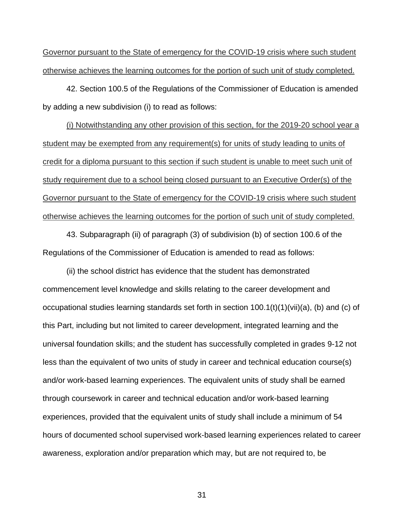Governor pursuant to the State of emergency for the COVID-19 crisis where such student otherwise achieves the learning outcomes for the portion of such unit of study completed.

42. Section 100.5 of the Regulations of the Commissioner of Education is amended by adding a new subdivision (i) to read as follows:

(i) Notwithstanding any other provision of this section, for the 2019-20 school year a student may be exempted from any requirement(s) for units of study leading to units of credit for a diploma pursuant to this section if such student is unable to meet such unit of study requirement due to a school being closed pursuant to an Executive Order(s) of the Governor pursuant to the State of emergency for the COVID-19 crisis where such student otherwise achieves the learning outcomes for the portion of such unit of study completed.

43. Subparagraph (ii) of paragraph (3) of subdivision (b) of section 100.6 of the Regulations of the Commissioner of Education is amended to read as follows:

(ii) the school district has evidence that the student has demonstrated commencement level knowledge and skills relating to the career development and occupational studies learning standards set forth in section 100.1(t)(1)(vii)(a), (b) and (c) of this Part, including but not limited to career development, integrated learning and the universal foundation skills; and the student has successfully completed in grades 9-12 not less than the equivalent of two units of study in career and technical education course(s) and/or work-based learning experiences. The equivalent units of study shall be earned through coursework in career and technical education and/or work-based learning experiences, provided that the equivalent units of study shall include a minimum of 54 hours of documented school supervised work-based learning experiences related to career awareness, exploration and/or preparation which may, but are not required to, be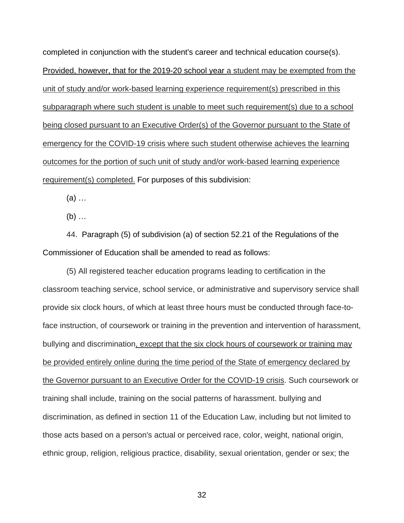completed in conjunction with the student's career and technical education course(s). Provided, however, that for the 2019-20 school year a student may be exempted from the unit of study and/or work-based learning experience requirement(s) prescribed in this subparagraph where such student is unable to meet such requirement(s) due to a school being closed pursuant to an Executive Order(s) of the Governor pursuant to the State of emergency for the COVID-19 crisis where such student otherwise achieves the learning outcomes for the portion of such unit of study and/or work-based learning experience requirement(s) completed. For purposes of this subdivision:

(a) …

 $(b)$  ...

44. Paragraph (5) of subdivision (a) of section 52.21 of the Regulations of the Commissioner of Education shall be amended to read as follows:

(5) All registered teacher education programs leading to certification in the classroom teaching service, school service, or administrative and supervisory service shall provide six clock hours, of which at least three hours must be conducted through face-toface instruction, of coursework or training in the prevention and intervention of harassment, bullying and discrimination, except that the six clock hours of coursework or training may be provided entirely online during the time period of the State of emergency declared by the Governor pursuant to an Executive Order for the COVID-19 crisis. Such coursework or training shall include, training on the social patterns of harassment. bullying and discrimination, as defined in section 11 of the Education Law, including but not limited to those acts based on a person's actual or perceived race, color, weight, national origin, ethnic group, religion, religious practice, disability, sexual orientation, gender or sex; the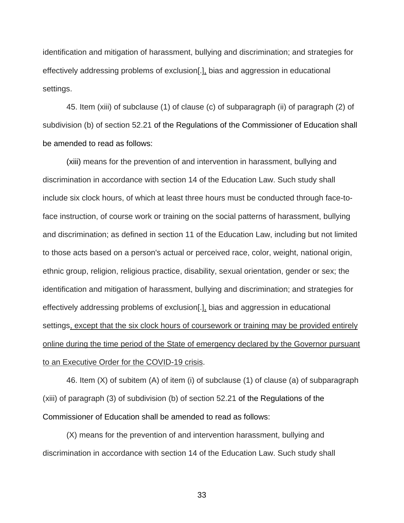identification and mitigation of harassment, bullying and discrimination; and strategies for effectively addressing problems of exclusion[.], bias and aggression in educational settings.

45. Item (xiii) of subclause (1) of clause (c) of subparagraph (ii) of paragraph (2) of subdivision (b) of section 52.21 of the Regulations of the Commissioner of Education shall be amended to read as follows:

(xiii) means for the prevention of and intervention in harassment, bullying and discrimination in accordance with section 14 of the Education Law. Such study shall include six clock hours, of which at least three hours must be conducted through face-toface instruction, of course work or training on the social patterns of harassment, bullying and discrimination; as defined in section 11 of the Education Law, including but not limited to those acts based on a person's actual or perceived race, color, weight, national origin, ethnic group, religion, religious practice, disability, sexual orientation, gender or sex; the identification and mitigation of harassment, bullying and discrimination; and strategies for effectively addressing problems of exclusion[.], bias and aggression in educational settings, except that the six clock hours of coursework or training may be provided entirely online during the time period of the State of emergency declared by the Governor pursuant to an Executive Order for the COVID-19 crisis.

46. Item (X) of subitem (A) of item (i) of subclause (1) of clause (a) of subparagraph (xiii) of paragraph (3) of subdivision (b) of section 52.21 of the Regulations of the Commissioner of Education shall be amended to read as follows:

(X) means for the prevention of and intervention harassment, bullying and discrimination in accordance with section 14 of the Education Law. Such study shall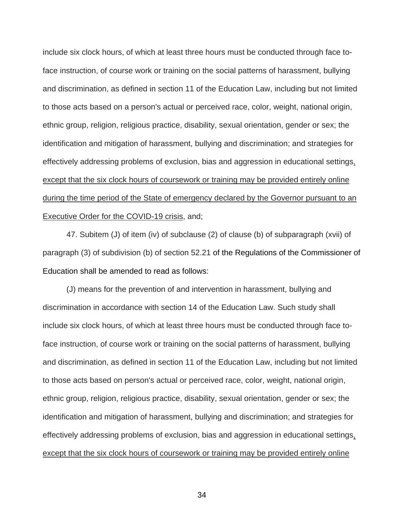include six clock hours, of which at least three hours must be conducted through face toface instruction, of course work or training on the social patterns of harassment, bullying and discrimination, as defined in section 11 of the Education Law, including but not limited to those acts based on a person's actual or perceived race, color, weight, national origin, ethnic group, religion, religious practice, disability, sexual orientation, gender or sex; the identification and mitigation of harassment, bullying and discrimination; and strategies for effectively addressing problems of exclusion, bias and aggression in educational settings, except that the six clock hours of coursework or training may be provided entirely online during the time period of the State of emergency declared by the Governor pursuant to an Executive Order for the COVID-19 crisis, and;

47. Subitem (J) of item (iv) of subclause (2) of clause (b) of subparagraph (xvii) of paragraph (3) of subdivision (b) of section 52.21 of the Regulations of the Commissioner of Education shall be amended to read as follows:

(J) means for the prevention of and intervention in harassment, bullying and discrimination in accordance with section 14 of the Education Law. Such study shall include six clock hours, of which at least three hours must be conducted through face toface instruction, of course work or training on the social patterns of harassment, bullying and discrimination, as defined in section 11 of the Education Law, including but not limited to those acts based on person's actual or perceived race, color, weight, national origin, ethnic group, religion, religious practice, disability, sexual orientation, gender or sex; the identification and mitigation of harassment, bullying and discrimination; and strategies for effectively addressing problems of exclusion, bias and aggression in educational settings, except that the six clock hours of coursework or training may be provided entirely online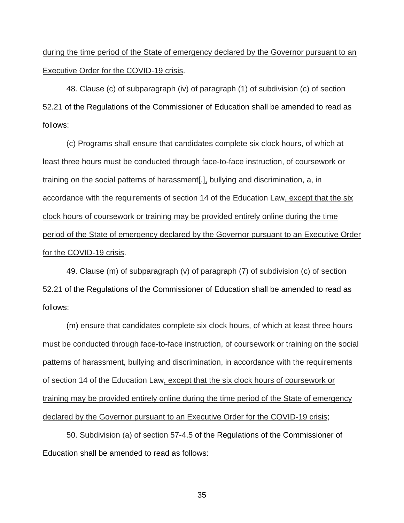# during the time period of the State of emergency declared by the Governor pursuant to an Executive Order for the COVID-19 crisis.

48. Clause (c) of subparagraph (iv) of paragraph (1) of subdivision (c) of section 52.21 of the Regulations of the Commissioner of Education shall be amended to read as follows:

(c) Programs shall ensure that candidates complete six clock hours, of which at least three hours must be conducted through face-to-face instruction, of coursework or training on the social patterns of harassment[.], bullying and discrimination, a, in accordance with the requirements of section 14 of the Education Law, except that the six clock hours of coursework or training may be provided entirely online during the time period of the State of emergency declared by the Governor pursuant to an Executive Order for the COVID-19 crisis.

49. Clause (m) of subparagraph (v) of paragraph (7) of subdivision (c) of section 52.21 of the Regulations of the Commissioner of Education shall be amended to read as follows:

(m) ensure that candidates complete six clock hours, of which at least three hours must be conducted through face-to-face instruction, of coursework or training on the social patterns of harassment, bullying and discrimination, in accordance with the requirements of section 14 of the Education Law, except that the six clock hours of coursework or training may be provided entirely online during the time period of the State of emergency declared by the Governor pursuant to an Executive Order for the COVID-19 crisis;

50. Subdivision (a) of section 57-4.5 of the Regulations of the Commissioner of Education shall be amended to read as follows: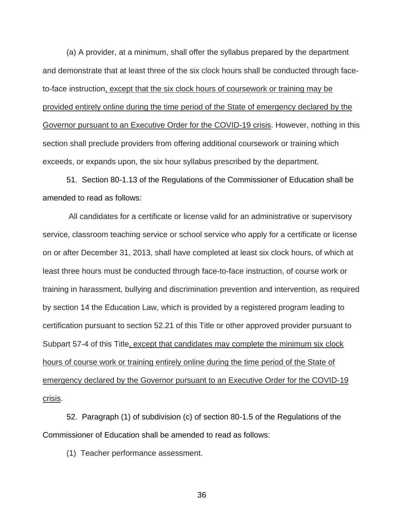(a) A provider, at a minimum, shall offer the syllabus prepared by the department and demonstrate that at least three of the six clock hours shall be conducted through faceto-face instruction, except that the six clock hours of coursework or training may be provided entirely online during the time period of the State of emergency declared by the Governor pursuant to an Executive Order for the COVID-19 crisis. However, nothing in this section shall preclude providers from offering additional coursework or training which exceeds, or expands upon, the six hour syllabus prescribed by the department.

51. Section 80-1.13 of the Regulations of the Commissioner of Education shall be amended to read as follows:

All candidates for a certificate or license valid for an administrative or supervisory service, classroom teaching service or school service who apply for a certificate or license on or after December 31, 2013, shall have completed at least six clock hours, of which at least three hours must be conducted through face-to-face instruction, of course work or training in harassment, bullying and discrimination prevention and intervention, as required by section 14 the Education Law, which is provided by a registered program leading to certification pursuant to section 52.21 of this Title or other approved provider pursuant to Subpart 57-4 of this Title, except that candidates may complete the minimum six clock hours of course work or training entirely online during the time period of the State of emergency declared by the Governor pursuant to an Executive Order for the COVID-19 crisis.

 52. Paragraph (1) of subdivision (c) of section 80-1.5 of the Regulations of the Commissioner of Education shall be amended to read as follows:

(1) Teacher performance assessment.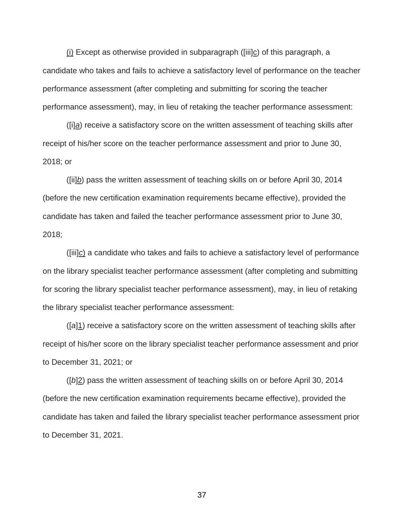$(i)$  Except as otherwise provided in subparagraph ([iii]c) of this paragraph, a candidate who takes and fails to achieve a satisfactory level of performance on the teacher performance assessment (after completing and submitting for scoring the teacher performance assessment), may, in lieu of retaking the teacher performance assessment:

([i]*a*) receive a satisfactory score on the written assessment of teaching skills after receipt of his/her score on the teacher performance assessment and prior to June 30, 2018; or

([ii]*b*) pass the written assessment of teaching skills on or before April 30, 2014 (before the new certification examination requirements became effective), provided the candidate has taken and failed the teacher performance assessment prior to June 30, 2018;

([iii]*c*) a candidate who takes and fails to achieve a satisfactory level of performance on the library specialist teacher performance assessment (after completing and submitting for scoring the library specialist teacher performance assessment), may, in lieu of retaking the library specialist teacher performance assessment:

([*a*]1) receive a satisfactory score on the written assessment of teaching skills after receipt of his/her score on the library specialist teacher performance assessment and prior to December 31, 2021; or

([*b*]2) pass the written assessment of teaching skills on or before April 30, 2014 (before the new certification examination requirements became effective), provided the candidate has taken and failed the library specialist teacher performance assessment prior to December 31, 2021.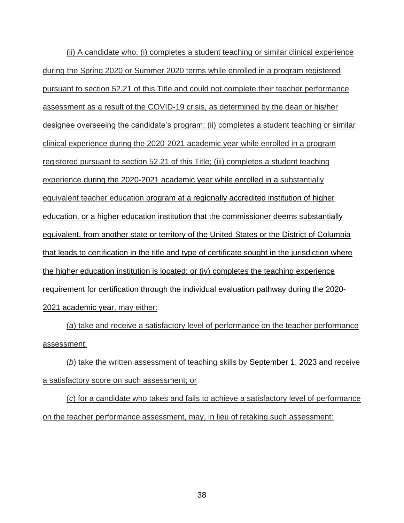(ii) A candidate who: (i) completes a student teaching or similar clinical experience during the Spring 2020 or Summer 2020 terms while enrolled in a program registered pursuant to section 52.21 of this Title and could not complete their teacher performance assessment as a result of the COVID-19 crisis, as determined by the dean or his/her designee overseeing the candidate's program; (ii) completes a student teaching or similar clinical experience during the 2020-2021 academic year while enrolled in a program registered pursuant to section 52.21 of this Title; (iii) completes a student teaching experience during the 2020-2021 academic year while enrolled in a substantially equivalent teacher education program at a regionally accredited institution of higher education, or a higher education institution that the commissioner deems substantially equivalent, from another state or territory of the United States or the District of Columbia that leads to certification in the title and type of certificate sought in the jurisdiction where the higher education institution is located; or (iv) completes the teaching experience requirement for certification through the individual evaluation pathway during the 2020- 2021 academic year, may either:

(*a*) take and receive a satisfactory level of performance on the teacher performance assessment;

(*b*) take the written assessment of teaching skills by September 1, 2023 and receive a satisfactory score on such assessment; or

(*c*) for a candidate who takes and fails to achieve a satisfactory level of performance on the teacher performance assessment, may, in lieu of retaking such assessment: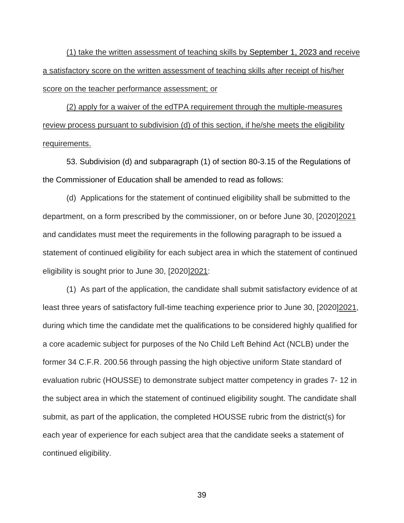(1) take the written assessment of teaching skills by September 1, 2023 and receive a satisfactory score on the written assessment of teaching skills after receipt of his/her score on the teacher performance assessment; or

(2) apply for a waiver of the edTPA requirement through the multiple-measures review process pursuant to subdivision (d) of this section, if he/she meets the eligibility requirements.

53. Subdivision (d) and subparagraph (1) of section 80-3.15 of the Regulations of the Commissioner of Education shall be amended to read as follows:

 (d) Applications for the statement of continued eligibility shall be submitted to the department, on a form prescribed by the commissioner, on or before June 30, [2020]2021 and candidates must meet the requirements in the following paragraph to be issued a statement of continued eligibility for each subject area in which the statement of continued eligibility is sought prior to June 30, [2020]2021:

 (1) As part of the application, the candidate shall submit satisfactory evidence of at least three years of satisfactory full-time teaching experience prior to June 30, [2020]2021, during which time the candidate met the qualifications to be considered highly qualified for a core academic subject for purposes of the No Child Left Behind Act (NCLB) under the former 34 C.F.R. 200.56 through passing the high objective uniform State standard of evaluation rubric (HOUSSE) to demonstrate subject matter competency in grades 7- 12 in the subject area in which the statement of continued eligibility sought. The candidate shall submit, as part of the application, the completed HOUSSE rubric from the district(s) for each year of experience for each subject area that the candidate seeks a statement of continued eligibility.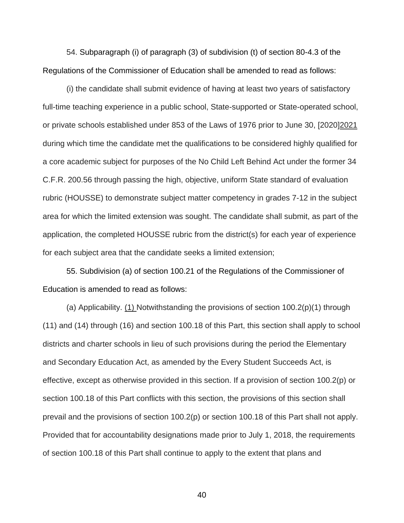54. Subparagraph (i) of paragraph (3) of subdivision (t) of section 80-4.3 of the Regulations of the Commissioner of Education shall be amended to read as follows:

(i) the candidate shall submit evidence of having at least two years of satisfactory full-time teaching experience in a public school, State-supported or State-operated school, or private schools established under 853 of the Laws of 1976 prior to June 30, [2020]2021 during which time the candidate met the qualifications to be considered highly qualified for a core academic subject for purposes of the No Child Left Behind Act under the former 34 C.F.R. 200.56 through passing the high, objective, uniform State standard of evaluation rubric (HOUSSE) to demonstrate subject matter competency in grades 7-12 in the subject area for which the limited extension was sought. The candidate shall submit, as part of the application, the completed HOUSSE rubric from the district(s) for each year of experience for each subject area that the candidate seeks a limited extension;

55. Subdivision (a) of section 100.21 of the Regulations of the Commissioner of Education is amended to read as follows:

(a) Applicability. (1) Notwithstanding the provisions of section 100.2(p)(1) through (11) and (14) through (16) and section 100.18 of this Part, this section shall apply to school districts and charter schools in lieu of such provisions during the period the Elementary and Secondary Education Act, as amended by the Every Student Succeeds Act, is effective, except as otherwise provided in this section. If a provision of section 100.2(p) or section 100.18 of this Part conflicts with this section, the provisions of this section shall prevail and the provisions of section 100.2(p) or section 100.18 of this Part shall not apply. Provided that for accountability designations made prior to July 1, 2018, the requirements of section 100.18 of this Part shall continue to apply to the extent that plans and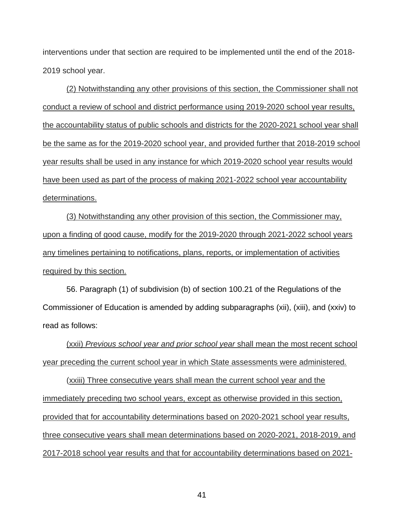interventions under that section are required to be implemented until the end of the 2018- 2019 school year.

(2) Notwithstanding any other provisions of this section, the Commissioner shall not conduct a review of school and district performance using 2019-2020 school year results, the accountability status of public schools and districts for the 2020-2021 school year shall be the same as for the 2019-2020 school year, and provided further that 2018-2019 school year results shall be used in any instance for which 2019-2020 school year results would have been used as part of the process of making 2021-2022 school year accountability determinations.

(3) Notwithstanding any other provision of this section, the Commissioner may, upon a finding of good cause, modify for the 2019-2020 through 2021-2022 school years any timelines pertaining to notifications, plans, reports, or implementation of activities required by this section.

56. Paragraph (1) of subdivision (b) of section 100.21 of the Regulations of the Commissioner of Education is amended by adding subparagraphs (xii), (xiii), and (xxiv) to read as follows:

(xxii) *Previous school year and prior school year* shall mean the most recent school year preceding the current school year in which State assessments were administered*.* 

(xxiii) Three consecutive years shall mean the current school year and the immediately preceding two school years, except as otherwise provided in this section, provided that for accountability determinations based on 2020-2021 school year results, three consecutive years shall mean determinations based on 2020-2021, 2018-2019, and 2017-2018 school year results and that for accountability determinations based on 2021-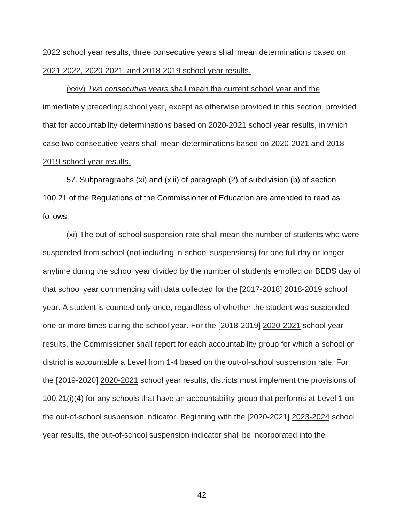2022 school year results, three consecutive years shall mean determinations based on 2021-2022, 2020-2021, and 2018-2019 school year results.

(xxiv) *Two consecutive years* shall mean the current school year and the immediately preceding school year, except as otherwise provided in this section, provided that for accountability determinations based on 2020-2021 school year results, in which case two consecutive years shall mean determinations based on 2020-2021 and 2018- 2019 school year results.

57. Subparagraphs (xi) and (xiii) of paragraph (2) of subdivision (b) of section 100.21 of the Regulations of the Commissioner of Education are amended to read as follows:

(xi) The out-of-school suspension rate shall mean the number of students who were suspended from school (not including in-school suspensions) for one full day or longer anytime during the school year divided by the number of students enrolled on BEDS day of that school year commencing with data collected for the [2017-2018] 2018-2019 school year. A student is counted only once, regardless of whether the student was suspended one or more times during the school year. For the [2018-2019] 2020-2021 school year results, the Commissioner shall report for each accountability group for which a school or district is accountable a Level from 1-4 based on the out-of-school suspension rate. For the [2019-2020] 2020-2021 school year results, districts must implement the provisions of 100.21(i)(4) for any schools that have an accountability group that performs at Level 1 on the out-of-school suspension indicator. Beginning with the [2020-2021] 2023-2024 school year results, the out-of-school suspension indicator shall be incorporated into the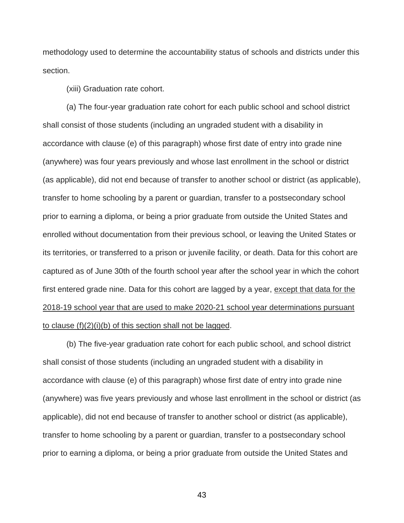methodology used to determine the accountability status of schools and districts under this section.

(xiii) Graduation rate cohort.

(a) The four-year graduation rate cohort for each public school and school district shall consist of those students (including an ungraded student with a disability in accordance with clause (e) of this paragraph) whose first date of entry into grade nine (anywhere) was four years previously and whose last enrollment in the school or district (as applicable), did not end because of transfer to another school or district (as applicable), transfer to home schooling by a parent or guardian, transfer to a postsecondary school prior to earning a diploma, or being a prior graduate from outside the United States and enrolled without documentation from their previous school, or leaving the United States or its territories, or transferred to a prison or juvenile facility, or death. Data for this cohort are captured as of June 30th of the fourth school year after the school year in which the cohort first entered grade nine. Data for this cohort are lagged by a year, except that data for the 2018-19 school year that are used to make 2020-21 school year determinations pursuant to clause (f)(2)(i)(b) of this section shall not be lagged.

(b) The five-year graduation rate cohort for each public school, and school district shall consist of those students (including an ungraded student with a disability in accordance with clause (e) of this paragraph) whose first date of entry into grade nine (anywhere) was five years previously and whose last enrollment in the school or district (as applicable), did not end because of transfer to another school or district (as applicable), transfer to home schooling by a parent or guardian, transfer to a postsecondary school prior to earning a diploma, or being a prior graduate from outside the United States and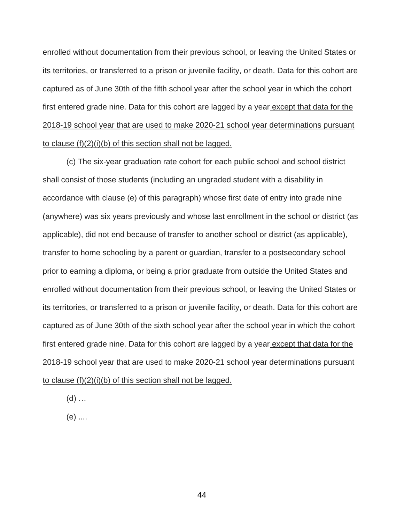enrolled without documentation from their previous school, or leaving the United States or its territories, or transferred to a prison or juvenile facility, or death. Data for this cohort are captured as of June 30th of the fifth school year after the school year in which the cohort first entered grade nine. Data for this cohort are lagged by a year except that data for the 2018-19 school year that are used to make 2020-21 school year determinations pursuant to clause (f)(2)(i)(b) of this section shall not be lagged.

(c) The six-year graduation rate cohort for each public school and school district shall consist of those students (including an ungraded student with a disability in accordance with clause (e) of this paragraph) whose first date of entry into grade nine (anywhere) was six years previously and whose last enrollment in the school or district (as applicable), did not end because of transfer to another school or district (as applicable), transfer to home schooling by a parent or guardian, transfer to a postsecondary school prior to earning a diploma, or being a prior graduate from outside the United States and enrolled without documentation from their previous school, or leaving the United States or its territories, or transferred to a prison or juvenile facility, or death. Data for this cohort are captured as of June 30th of the sixth school year after the school year in which the cohort first entered grade nine. Data for this cohort are lagged by a year except that data for the 2018-19 school year that are used to make 2020-21 school year determinations pursuant to clause (f)(2)(i)(b) of this section shall not be lagged.

 $(d)$  ...

(e) ....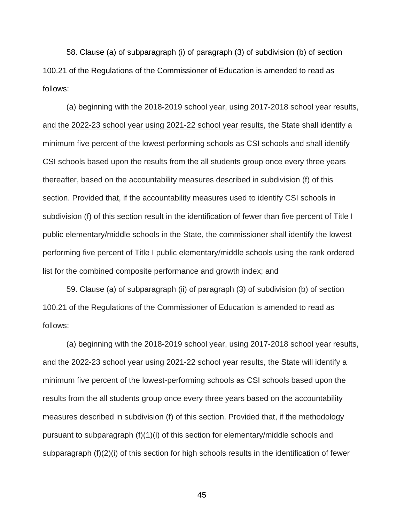58. Clause (a) of subparagraph (i) of paragraph (3) of subdivision (b) of section 100.21 of the Regulations of the Commissioner of Education is amended to read as follows:

(a) beginning with the 2018-2019 school year, using 2017-2018 school year results, and the 2022-23 school year using 2021-22 school year results, the State shall identify a minimum five percent of the lowest performing schools as CSI schools and shall identify CSI schools based upon the results from the all students group once every three years thereafter, based on the accountability measures described in subdivision (f) of this section. Provided that, if the accountability measures used to identify CSI schools in subdivision (f) of this section result in the identification of fewer than five percent of Title I public elementary/middle schools in the State, the commissioner shall identify the lowest performing five percent of Title I public elementary/middle schools using the rank ordered list for the combined composite performance and growth index; and

59. Clause (a) of subparagraph (ii) of paragraph (3) of subdivision (b) of section 100.21 of the Regulations of the Commissioner of Education is amended to read as follows:

(a) beginning with the 2018-2019 school year, using 2017-2018 school year results, and the 2022-23 school year using 2021-22 school year results, the State will identify a minimum five percent of the lowest-performing schools as CSI schools based upon the results from the all students group once every three years based on the accountability measures described in subdivision (f) of this section. Provided that, if the methodology pursuant to subparagraph (f)(1)(i) of this section for elementary/middle schools and subparagraph (f)(2)(i) of this section for high schools results in the identification of fewer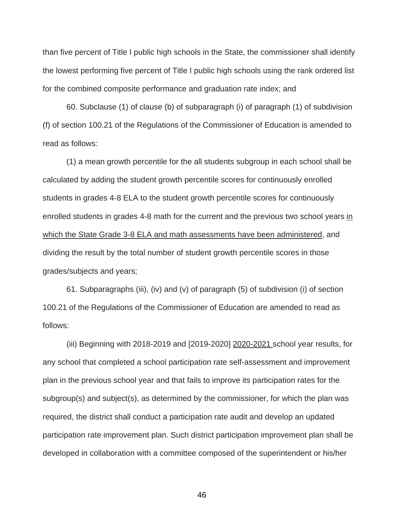than five percent of Title I public high schools in the State, the commissioner shall identify the lowest performing five percent of Title I public high schools using the rank ordered list for the combined composite performance and graduation rate index; and

60. Subclause (1) of clause (b) of subparagraph (i) of paragraph (1) of subdivision (f) of section 100.21 of the Regulations of the Commissioner of Education is amended to read as follows:

(1) a mean growth percentile for the all students subgroup in each school shall be calculated by adding the student growth percentile scores for continuously enrolled students in grades 4-8 ELA to the student growth percentile scores for continuously enrolled students in grades 4-8 math for the current and the previous two school years in which the State Grade 3-8 ELA and math assessments have been administered, and dividing the result by the total number of student growth percentile scores in those grades/subjects and years;

61. Subparagraphs (iii), (iv) and (v) of paragraph (5) of subdivision (i) of section 100.21 of the Regulations of the Commissioner of Education are amended to read as follows:

(iii) Beginning with 2018-2019 and [2019-2020] 2020-2021 school year results, for any school that completed a school participation rate self-assessment and improvement plan in the previous school year and that fails to improve its participation rates for the subgroup(s) and subject(s), as determined by the commissioner, for which the plan was required, the district shall conduct a participation rate audit and develop an updated participation rate improvement plan. Such district participation improvement plan shall be developed in collaboration with a committee composed of the superintendent or his/her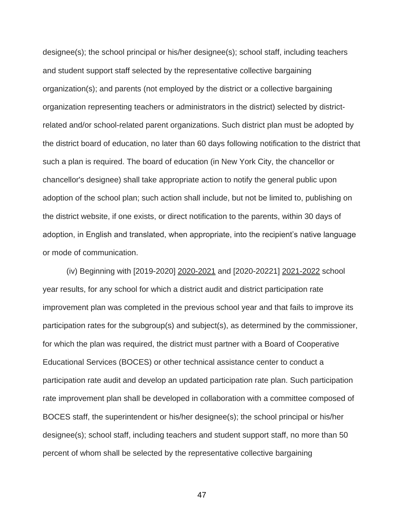designee(s); the school principal or his/her designee(s); school staff, including teachers and student support staff selected by the representative collective bargaining organization(s); and parents (not employed by the district or a collective bargaining organization representing teachers or administrators in the district) selected by districtrelated and/or school-related parent organizations. Such district plan must be adopted by the district board of education, no later than 60 days following notification to the district that such a plan is required. The board of education (in New York City, the chancellor or chancellor's designee) shall take appropriate action to notify the general public upon adoption of the school plan; such action shall include, but not be limited to, publishing on the district website, if one exists, or direct notification to the parents, within 30 days of adoption, in English and translated, when appropriate, into the recipient's native language or mode of communication.

(iv) Beginning with [2019-2020] 2020-2021 and [2020-20221] 2021-2022 school year results, for any school for which a district audit and district participation rate improvement plan was completed in the previous school year and that fails to improve its participation rates for the subgroup(s) and subject(s), as determined by the commissioner, for which the plan was required, the district must partner with a Board of Cooperative Educational Services (BOCES) or other technical assistance center to conduct a participation rate audit and develop an updated participation rate plan. Such participation rate improvement plan shall be developed in collaboration with a committee composed of BOCES staff, the superintendent or his/her designee(s); the school principal or his/her designee(s); school staff, including teachers and student support staff, no more than 50 percent of whom shall be selected by the representative collective bargaining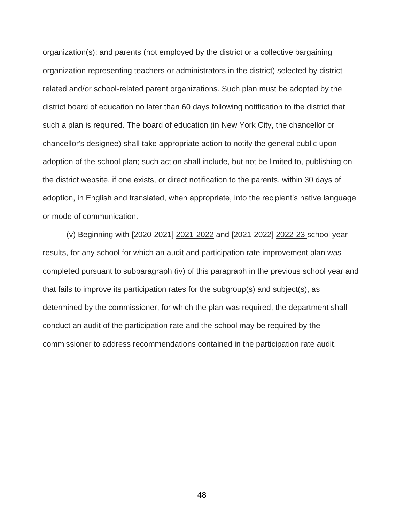organization(s); and parents (not employed by the district or a collective bargaining organization representing teachers or administrators in the district) selected by districtrelated and/or school-related parent organizations. Such plan must be adopted by the district board of education no later than 60 days following notification to the district that such a plan is required. The board of education (in New York City, the chancellor or chancellor's designee) shall take appropriate action to notify the general public upon adoption of the school plan; such action shall include, but not be limited to, publishing on the district website, if one exists, or direct notification to the parents, within 30 days of adoption, in English and translated, when appropriate, into the recipient's native language or mode of communication.

(v) Beginning with [2020-2021] 2021-2022 and [2021-2022] 2022-23 school year results, for any school for which an audit and participation rate improvement plan was completed pursuant to subparagraph (iv) of this paragraph in the previous school year and that fails to improve its participation rates for the subgroup(s) and subject(s), as determined by the commissioner, for which the plan was required, the department shall conduct an audit of the participation rate and the school may be required by the commissioner to address recommendations contained in the participation rate audit.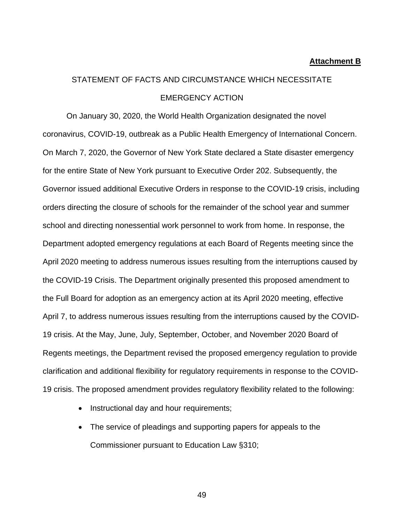#### **Attachment B**

# STATEMENT OF FACTS AND CIRCUMSTANCE WHICH NECESSITATE EMERGENCY ACTION

On January 30, 2020, the World Health Organization designated the novel coronavirus, COVID-19, outbreak as a Public Health Emergency of International Concern. On March 7, 2020, the Governor of New York State declared a State disaster emergency for the entire State of New York pursuant to Executive Order 202. Subsequently, the Governor issued additional Executive Orders in response to the COVID-19 crisis, including orders directing the closure of schools for the remainder of the school year and summer school and directing nonessential work personnel to work from home. In response, the Department adopted emergency regulations at each Board of Regents meeting since the April 2020 meeting to address numerous issues resulting from the interruptions caused by the COVID-19 Crisis. The Department originally presented this proposed amendment to the Full Board for adoption as an emergency action at its April 2020 meeting, effective April 7, to address numerous issues resulting from the interruptions caused by the COVID-19 crisis. At the May, June, July, September, October, and November 2020 Board of Regents meetings, the Department revised the proposed emergency regulation to provide clarification and additional flexibility for regulatory requirements in response to the COVID-19 crisis. The proposed amendment provides regulatory flexibility related to the following:

- Instructional day and hour requirements;
- The service of pleadings and supporting papers for appeals to the Commissioner pursuant to Education Law §310;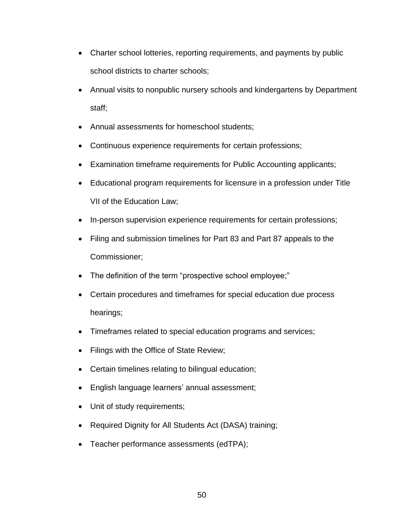- Charter school lotteries, reporting requirements, and payments by public school districts to charter schools;
- Annual visits to nonpublic nursery schools and kindergartens by Department staff;
- Annual assessments for homeschool students;
- Continuous experience requirements for certain professions;
- Examination timeframe requirements for Public Accounting applicants;
- Educational program requirements for licensure in a profession under Title VII of the Education Law;
- In-person supervision experience requirements for certain professions;
- Filing and submission timelines for Part 83 and Part 87 appeals to the Commissioner;
- The definition of the term "prospective school employee;"
- Certain procedures and timeframes for special education due process hearings;
- Timeframes related to special education programs and services;
- Filings with the Office of State Review;
- Certain timelines relating to bilingual education;
- English language learners' annual assessment;
- Unit of study requirements;
- Required Dignity for All Students Act (DASA) training;
- Teacher performance assessments (edTPA);